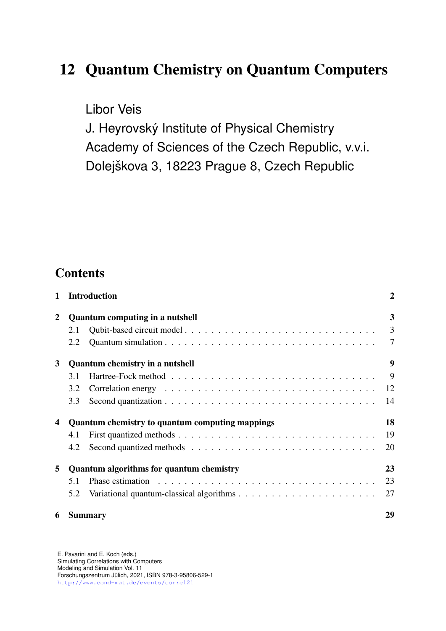# 12 Quantum Chemistry on Quantum Computers

Libor Veis

J. Heyrovský Institute of Physical Chemistry Academy of Sciences of the Czech Republic, v.v.i. Dolejškova 3, 18223 Prague 8, Czech Republic

## **Contents**

| 1 |                                                 | <b>Introduction</b>                                                                         | $\boldsymbol{2}$ |
|---|-------------------------------------------------|---------------------------------------------------------------------------------------------|------------------|
| 2 | <b>Quantum computing in a nutshell</b>          |                                                                                             |                  |
|   | 2.1                                             | Qubit-based circuit model                                                                   | 3                |
|   | 2.2                                             |                                                                                             | $\overline{7}$   |
| 3 |                                                 | <b>Quantum chemistry in a nutshell</b>                                                      | 9                |
|   | 3.1                                             |                                                                                             | 9                |
|   | 3.2                                             |                                                                                             | 12               |
|   | 3.3                                             | Second quantization $\ldots \ldots \ldots \ldots \ldots \ldots \ldots \ldots \ldots \ldots$ | 14               |
| 4 |                                                 | <b>Quantum chemistry to quantum computing mappings</b>                                      | 18               |
|   | 4.1                                             |                                                                                             | 19               |
|   | 4.2                                             |                                                                                             | 20               |
| 5 | <b>Quantum algorithms for quantum chemistry</b> |                                                                                             |                  |
|   | 5.1                                             |                                                                                             | 23               |
|   | 5.2                                             |                                                                                             | 27               |
| 6 |                                                 | <b>Summary</b>                                                                              | 29               |

E. Pavarini and E. Koch (eds.) Simulating Correlations with Computers Modeling and Simulation Vol. 11 Forschungszentrum Julich, 2021, ISBN 978-3-95806-529-1 ¨ <http://www.cond-mat.de/events/correl21>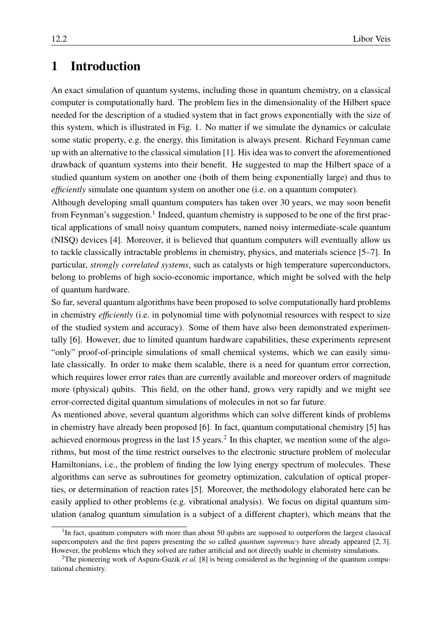### <span id="page-1-0"></span>1 Introduction

An exact simulation of quantum systems, including those in quantum chemistry, on a classical computer is computationally hard. The problem lies in the dimensionality of the Hilbert space needed for the description of a studied system that in fact grows exponentially with the size of this system, which is illustrated in Fig. [1.](#page-2-2) No matter if we simulate the dynamics or calculate some static property, e.g. the energy, this limitation is always present. Richard Feynman came up with an alternative to the classical simulation [\[1\]](#page-29-0). His idea was to convert the aforementioned drawback of quantum systems into their benefit. He suggested to map the Hilbert space of a studied quantum system on another one (both of them being exponentially large) and thus to *efficiently* simulate one quantum system on another one (i.e. on a quantum computer).

Although developing small quantum computers has taken over 30 years, we may soon benefit from Feynman's suggestion.<sup>[1](#page-1-1)</sup> Indeed, quantum chemistry is supposed to be one of the first practical applications of small noisy quantum computers, named noisy intermediate-scale quantum (NISQ) devices [\[4\]](#page-29-1). Moreover, it is believed that quantum computers will eventually allow us to tackle classically intractable problems in chemistry, physics, and materials science [\[5](#page-29-2)[–7\]](#page-29-3). In particular, *strongly correlated systems*, such as catalysts or high temperature superconductors, belong to problems of high socio-economic importance, which might be solved with the help of quantum hardware.

So far, several quantum algorithms have been proposed to solve computationally hard problems in chemistry *efficiently* (i.e. in polynomial time with polynomial resources with respect to size of the studied system and accuracy). Some of them have also been demonstrated experimentally [\[6\]](#page-29-4). However, due to limited quantum hardware capabilities, these experiments represent "only" proof-of-principle simulations of small chemical systems, which we can easily simulate classically. In order to make them scalable, there is a need for quantum error correction, which requires lower error rates than are currently available and moreover orders of magnitude more (physical) qubits. This field, on the other hand, grows very rapidly and we might see error-corrected digital quantum simulations of molecules in not so far future.

As mentioned above, several quantum algorithms which can solve different kinds of problems in chemistry have already been proposed [\[6\]](#page-29-4). In fact, quantum computational chemistry [\[5\]](#page-29-2) has achieved enormous progress in the last  $15$  years.<sup>[2](#page-1-2)</sup> In this chapter, we mention some of the algorithms, but most of the time restrict ourselves to the electronic structure problem of molecular Hamiltonians, i.e., the problem of finding the low lying energy spectrum of molecules. These algorithms can serve as subroutines for geometry optimization, calculation of optical properties, or determination of reaction rates [\[5\]](#page-29-2). Moreover, the methodology elaborated here can be easily applied to other problems (e.g. vibrational analysis). We focus on digital quantum simulation (analog quantum simulation is a subject of a different chapter), which means that the

<span id="page-1-1"></span><sup>&</sup>lt;sup>1</sup>In fact, quantum computers with more than about 50 qubits are supposed to outperform the largest classical supercomputers and the first papers presenting the so called *quantum supremacy* have already appeared [\[2,](#page-29-5) [3\]](#page-29-6). However, the problems which they solved are rather artificial and not directly usable in chemistry simulations.

<span id="page-1-2"></span><sup>2</sup>The pioneering work of Aspuru-Guzik *et al.* [\[8\]](#page-29-7) is being considered as the beginning of the quantum computational chemistry.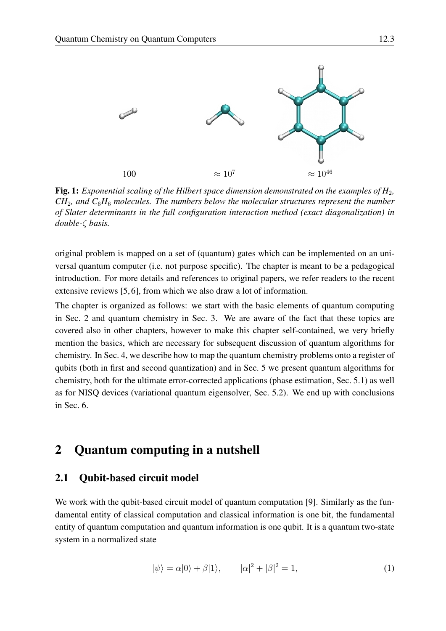

<span id="page-2-2"></span>Fig. 1: *Exponential scaling of the Hilbert space dimension demonstrated on the examples of H*2*,*  $CH<sub>2</sub>$ , and  $C<sub>6</sub>H<sub>6</sub>$  molecules. The numbers below the molecular structures represent the number *of Slater determinants in the full configuration interaction method (exact diagonalization) in double-*ζ *basis.*

original problem is mapped on a set of (quantum) gates which can be implemented on an universal quantum computer (i.e. not purpose specific). The chapter is meant to be a pedagogical introduction. For more details and references to original papers, we refer readers to the recent extensive reviews [\[5,](#page-29-2) [6\]](#page-29-4), from which we also draw a lot of information.

The chapter is organized as follows: we start with the basic elements of quantum computing in Sec. [2](#page-2-0) and quantum chemistry in Sec. [3.](#page-8-0) We are aware of the fact that these topics are covered also in other chapters, however to make this chapter self-contained, we very briefly mention the basics, which are necessary for subsequent discussion of quantum algorithms for chemistry. In Sec. [4,](#page-17-0) we describe how to map the quantum chemistry problems onto a register of qubits (both in first and second quantization) and in Sec. [5](#page-22-0) we present quantum algorithms for chemistry, both for the ultimate error-corrected applications (phase estimation, Sec. [5.1\)](#page-22-1) as well as for NISQ devices (variational quantum eigensolver, Sec. [5.2\)](#page-26-0). We end up with conclusions in Sec. [6.](#page-28-0)

## <span id="page-2-0"></span>2 Quantum computing in a nutshell

### <span id="page-2-1"></span>2.1 Qubit-based circuit model

We work with the qubit-based circuit model of quantum computation [\[9\]](#page-29-8). Similarly as the fundamental entity of classical computation and classical information is one bit, the fundamental entity of quantum computation and quantum information is one qubit. It is a quantum two-state system in a normalized state

$$
|\psi\rangle = \alpha|0\rangle + \beta|1\rangle, \qquad |\alpha|^2 + |\beta|^2 = 1,\tag{1}
$$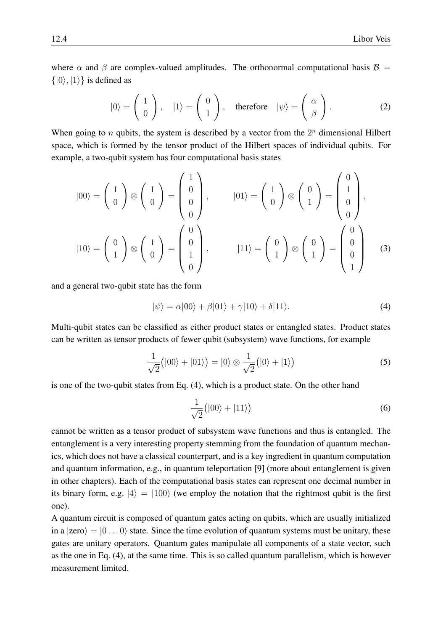where  $\alpha$  and  $\beta$  are complex-valued amplitudes. The orthonormal computational basis  $\beta$  =  $\{|0\rangle, |1\rangle\}$  is defined as

$$
|0\rangle = \begin{pmatrix} 1 \\ 0 \end{pmatrix}, |1\rangle = \begin{pmatrix} 0 \\ 1 \end{pmatrix}, \text{ therefore } |\psi\rangle = \begin{pmatrix} \alpha \\ \beta \end{pmatrix}.
$$
 (2)

When going to  $n$  qubits, the system is described by a vector from the  $2^n$  dimensional Hilbert space, which is formed by the tensor product of the Hilbert spaces of individual qubits. For example, a two-qubit system has four computational basis states

$$
|00\rangle = \begin{pmatrix} 1 \\ 0 \end{pmatrix} \otimes \begin{pmatrix} 1 \\ 0 \end{pmatrix} = \begin{pmatrix} 1 \\ 0 \\ 0 \end{pmatrix}, \qquad |01\rangle = \begin{pmatrix} 1 \\ 0 \end{pmatrix} \otimes \begin{pmatrix} 0 \\ 1 \end{pmatrix} = \begin{pmatrix} 0 \\ 0 \\ 0 \end{pmatrix},
$$

$$
|10\rangle = \begin{pmatrix} 0 \\ 1 \end{pmatrix} \otimes \begin{pmatrix} 1 \\ 0 \end{pmatrix} = \begin{pmatrix} 0 \\ 0 \\ 1 \end{pmatrix}, \qquad |11\rangle = \begin{pmatrix} 0 \\ 1 \end{pmatrix} \otimes \begin{pmatrix} 0 \\ 1 \end{pmatrix} = \begin{pmatrix} 0 \\ 0 \\ 0 \end{pmatrix} \qquad (3)
$$

and a general two-qubit state has the form

<span id="page-3-0"></span>
$$
|\psi\rangle = \alpha|00\rangle + \beta|01\rangle + \gamma|10\rangle + \delta|11\rangle. \tag{4}
$$

Multi-qubit states can be classified as either product states or entangled states. Product states can be written as tensor products of fewer qubit (subsystem) wave functions, for example

$$
\frac{1}{\sqrt{2}}(|00\rangle + |01\rangle) = |0\rangle \otimes \frac{1}{\sqrt{2}}(|0\rangle + |1\rangle)
$$
 (5)

is one of the two-qubit states from Eq. [\(4\)](#page-3-0), which is a product state. On the other hand

<span id="page-3-1"></span>
$$
\frac{1}{\sqrt{2}}\big(|00\rangle+|11\rangle\big) \tag{6}
$$

cannot be written as a tensor product of subsystem wave functions and thus is entangled. The entanglement is a very interesting property stemming from the foundation of quantum mechanics, which does not have a classical counterpart, and is a key ingredient in quantum computation and quantum information, e.g., in quantum teleportation [\[9\]](#page-29-8) (more about entanglement is given in other chapters). Each of the computational basis states can represent one decimal number in its binary form, e.g.  $|4\rangle = |100\rangle$  (we employ the notation that the rightmost qubit is the first one).

A quantum circuit is composed of quantum gates acting on qubits, which are usually initialized in a  $|zero\rangle = |0...0\rangle$  state. Since the time evolution of quantum systems must be unitary, these gates are unitary operators. Quantum gates manipulate all components of a state vector, such as the one in Eq. [\(4\)](#page-3-0), at the same time. This is so called quantum parallelism, which is however measurement limited.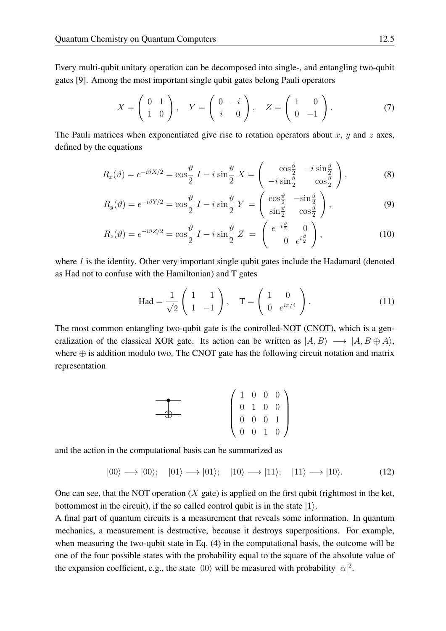Every multi-qubit unitary operation can be decomposed into single-, and entangling two-qubit gates [\[9\]](#page-29-8). Among the most important single qubit gates belong Pauli operators

<span id="page-4-3"></span>
$$
X = \begin{pmatrix} 0 & 1 \\ 1 & 0 \end{pmatrix}, \quad Y = \begin{pmatrix} 0 & -i \\ i & 0 \end{pmatrix}, \quad Z = \begin{pmatrix} 1 & 0 \\ 0 & -1 \end{pmatrix}.
$$
 (7)

The Pauli matrices when exponentiated give rise to rotation operators about x, y and z axes, defined by the equations

$$
R_x(\vartheta) = e^{-i\vartheta X/2} = \cos\frac{\vartheta}{2} I - i\sin\frac{\vartheta}{2} X = \begin{pmatrix} \cos\frac{\vartheta}{2} & -i\sin\frac{\vartheta}{2} \\ -i\sin\frac{\vartheta}{2} & \cos\frac{\vartheta}{2} \end{pmatrix},
$$
(8)

$$
R_y(\vartheta) = e^{-i\vartheta Y/2} = \cos\frac{\vartheta}{2} I - i\sin\frac{\vartheta}{2} Y = \begin{pmatrix} \cos\frac{\vartheta}{2} & -\sin\frac{\vartheta}{2} \\ \sin\frac{\vartheta}{2} & \cos\frac{\vartheta}{2} \end{pmatrix},
$$
(9)

$$
R_z(\vartheta) = e^{-i\vartheta Z/2} = \cos\frac{\vartheta}{2} I - i\sin\frac{\vartheta}{2} Z = \begin{pmatrix} e^{-i\frac{\vartheta}{2}} & 0\\ 0 & e^{i\frac{\vartheta}{2}} \end{pmatrix},\tag{10}
$$

where  $I$  is the identity. Other very important single qubit gates include the Hadamard (denoted as Had not to confuse with the Hamiltonian) and T gates

<span id="page-4-2"></span><span id="page-4-1"></span><span id="page-4-0"></span>
$$
\text{Had} = \frac{1}{\sqrt{2}} \begin{pmatrix} 1 & 1 \\ 1 & -1 \end{pmatrix}, \quad \text{T} = \begin{pmatrix} 1 & 0 \\ 0 & e^{i\pi/4} \end{pmatrix}.
$$
 (11)

The most common entangling two-qubit gate is the controlled-NOT (CNOT), which is a generalization of the classical XOR gate. Its action can be written as  $|A, B\rangle \longrightarrow |A, B \oplus A\rangle$ , where  $\oplus$  is addition modulo two. The CNOT gate has the following circuit notation and matrix representation

$$
\begin{pmatrix}\n1 & 0 & 0 & 0 \\
0 & 1 & 0 & 0 \\
0 & 0 & 0 & 1 \\
0 & 0 & 1 & 0\n\end{pmatrix}
$$

and the action in the computational basis can be summarized as

$$
|00\rangle \longrightarrow |00\rangle; \quad |01\rangle \longrightarrow |01\rangle; \quad |10\rangle \longrightarrow |11\rangle; \quad |11\rangle \longrightarrow |10\rangle. \tag{12}
$$

One can see, that the NOT operation  $(X$  gate) is applied on the first qubit (rightmost in the ket, bottommost in the circuit), if the so called control qubit is in the state  $|1\rangle$ .

A final part of quantum circuits is a measurement that reveals some information. In quantum mechanics, a measurement is destructive, because it destroys superpositions. For example, when measuring the two-qubit state in Eq. [\(4\)](#page-3-0) in the computational basis, the outcome will be one of the four possible states with the probability equal to the square of the absolute value of the expansion coefficient, e.g., the state  $|00\rangle$  will be measured with probability  $|\alpha|^2$ .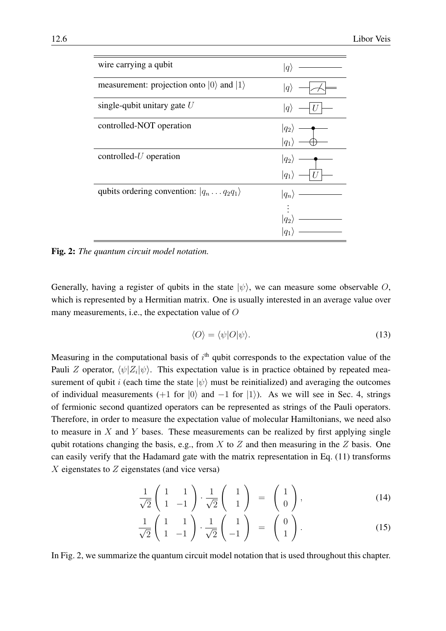| wire carrying a qubit                                    | $ q\rangle$   |
|----------------------------------------------------------|---------------|
| measurement: projection onto $ 0\rangle$ and $ 1\rangle$ | $ q\rangle$   |
| single-qubit unitary gate $U$                            | $ q\rangle$   |
| controlled-NOT operation                                 | $ q_2\rangle$ |
|                                                          | $ q_1\rangle$ |
| controlled- $U$ operation                                | $ q_2\rangle$ |
|                                                          | $ q_1\rangle$ |
| qubits ordering convention: $ q_n \dots q_2 q_1\rangle$  | $ q_n\rangle$ |
|                                                          |               |
|                                                          | $ q_2\rangle$ |
|                                                          |               |

<span id="page-5-0"></span>Fig. 2: *The quantum circuit model notation.*

Generally, having a register of qubits in the state  $|\psi\rangle$ , we can measure some observable O, which is represented by a Hermitian matrix. One is usually interested in an average value over many measurements, i.e., the expectation value of O

$$
\langle O \rangle = \langle \psi | O | \psi \rangle. \tag{13}
$$

Measuring in the computational basis of  $i<sup>th</sup>$  qubit corresponds to the expectation value of the Pauli Z operator,  $\langle \psi | Z_i | \psi \rangle$ . This expectation value is in practice obtained by repeated measurement of qubit i (each time the state  $|\psi\rangle$  must be reinitialized) and averaging the outcomes of individual measurements (+1 for  $|0\rangle$  and −1 for  $|1\rangle$ ). As we will see in Sec. [4,](#page-17-0) strings of fermionic second quantized operators can be represented as strings of the Pauli operators. Therefore, in order to measure the expectation value of molecular Hamiltonians, we need also to measure in  $X$  and  $Y$  bases. These measurements can be realized by first applying single qubit rotations changing the basis, e.g., from  $X$  to  $Z$  and then measuring in the  $Z$  basis. One can easily verify that the Hadamard gate with the matrix representation in Eq. [\(11\)](#page-4-0) transforms  $X$  eigenstates to  $Z$  eigenstates (and vice versa)

<span id="page-5-1"></span>
$$
\frac{1}{\sqrt{2}}\begin{pmatrix} 1 & 1 \ 1 & -1 \end{pmatrix} \cdot \frac{1}{\sqrt{2}}\begin{pmatrix} 1 \ 1 \end{pmatrix} = \begin{pmatrix} 1 \ 0 \end{pmatrix},
$$
\n(14)

$$
\frac{1}{\sqrt{2}}\left(\begin{array}{cc} 1 & 1\\ 1 & -1 \end{array}\right)\cdot\frac{1}{\sqrt{2}}\left(\begin{array}{c} 1\\ -1 \end{array}\right) = \left(\begin{array}{c} 0\\ 1 \end{array}\right). \tag{15}
$$

In Fig. [2,](#page-5-0) we summarize the quantum circuit model notation that is used throughout this chapter.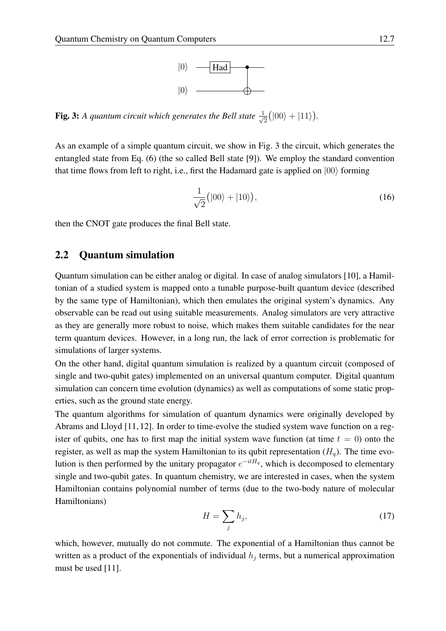

<span id="page-6-1"></span>**Fig. 3:** A quantum circuit which generates the Bell state  $\frac{1}{\sqrt{2}}$  $\frac{1}{2}(|00\rangle + |11\rangle).$ 

As an example of a simple quantum circuit, we show in Fig. [3](#page-6-1) the circuit, which generates the entangled state from Eq. [\(6\)](#page-3-1) (the so called Bell state [\[9\]](#page-29-8)). We employ the standard convention that time flows from left to right, i.e., first the Hadamard gate is applied on  $|00\rangle$  forming

$$
\frac{1}{\sqrt{2}}\big(|00\rangle+|10\rangle\big),\tag{16}
$$

then the CNOT gate produces the final Bell state.

### <span id="page-6-0"></span>2.2 Quantum simulation

Quantum simulation can be either analog or digital. In case of analog simulators [\[10\]](#page-29-9), a Hamiltonian of a studied system is mapped onto a tunable purpose-built quantum device (described by the same type of Hamiltonian), which then emulates the original system's dynamics. Any observable can be read out using suitable measurements. Analog simulators are very attractive as they are generally more robust to noise, which makes them suitable candidates for the near term quantum devices. However, in a long run, the lack of error correction is problematic for simulations of larger systems.

On the other hand, digital quantum simulation is realized by a quantum circuit (composed of single and two-qubit gates) implemented on an universal quantum computer. Digital quantum simulation can concern time evolution (dynamics) as well as computations of some static properties, such as the ground state energy.

The quantum algorithms for simulation of quantum dynamics were originally developed by Abrams and Lloyd [\[11,](#page-29-10) [12\]](#page-29-11). In order to time-evolve the studied system wave function on a register of qubits, one has to first map the initial system wave function (at time  $t = 0$ ) onto the register, as well as map the system Hamiltonian to its qubit representation  $(H_q)$ . The time evolution is then performed by the unitary propagator  $e^{-itH_q}$ , which is decomposed to elementary single and two-qubit gates. In quantum chemistry, we are interested in cases, when the system Hamiltonian contains polynomial number of terms (due to the two-body nature of molecular Hamiltonians)

$$
H = \sum_{j} h_j,\tag{17}
$$

which, however, mutually do not commute. The exponential of a Hamiltonian thus cannot be written as a product of the exponentials of individual  $h_j$  terms, but a numerical approximation must be used [\[11\]](#page-29-10).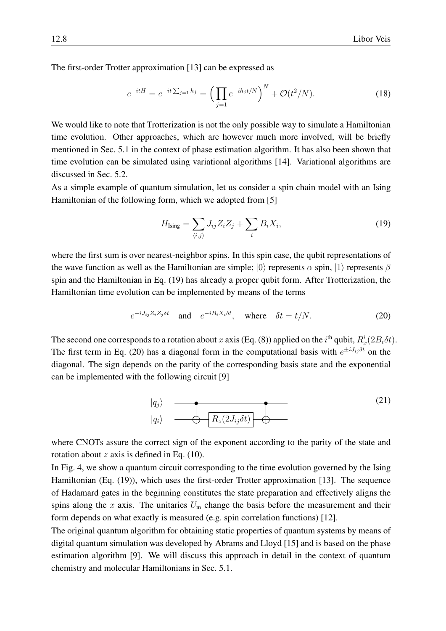The first-order Trotter approximation [\[13\]](#page-29-12) can be expressed as

<span id="page-7-2"></span>
$$
e^{-itH} = e^{-it\sum_{j=1} h_j} = \left(\prod_{j=1} e^{-ih_j t/N}\right)^N + \mathcal{O}(t^2/N). \tag{18}
$$

We would like to note that Trotterization is not the only possible way to simulate a Hamiltonian time evolution. Other approaches, which are however much more involved, will be briefly mentioned in Sec. [5.1](#page-22-1) in the context of phase estimation algorithm. It has also been shown that time evolution can be simulated using variational algorithms [\[14\]](#page-29-13). Variational algorithms are discussed in Sec. [5.2.](#page-26-0)

As a simple example of quantum simulation, let us consider a spin chain model with an Ising Hamiltonian of the following form, which we adopted from [\[5\]](#page-29-2)

<span id="page-7-0"></span>
$$
H_{\text{Ising}} = \sum_{\langle i,j \rangle} J_{ij} Z_i Z_j + \sum_i B_i X_i,\tag{19}
$$

where the first sum is over nearest-neighbor spins. In this spin case, the qubit representations of the wave function as well as the Hamiltonian are simple;  $|0\rangle$  represents  $\alpha$  spin,  $|1\rangle$  represents  $\beta$ spin and the Hamiltonian in Eq. [\(19\)](#page-7-0) has already a proper qubit form. After Trotterization, the Hamiltonian time evolution can be implemented by means of the terms

<span id="page-7-1"></span>
$$
e^{-iJ_{ij}Z_iZ_j\delta t} \quad \text{and} \quad e^{-iB_iX_i\delta t}, \quad \text{where} \quad \delta t = t/N. \tag{20}
$$

The second one corresponds to a rotation about x axis (Eq. [\(8\)](#page-4-1)) applied on the  $i^{\text{th}}$  qubit,  $R_x^i(2B_i\delta t)$ . The first term in Eq. [\(20\)](#page-7-1) has a diagonal form in the computational basis with  $e^{\pm iJ_{ij}\delta t}$  on the diagonal. The sign depends on the parity of the corresponding basis state and the exponential can be implemented with the following circuit [\[9\]](#page-29-8)

$$
|q_j\rangle \longrightarrow (21)
$$
  

$$
|q_i\rangle \longrightarrow R_z(2J_{ij}\delta t) \longrightarrow (21)
$$

where CNOTs assure the correct sign of the exponent according to the parity of the state and rotation about  $z$  axis is defined in Eq. [\(10\)](#page-4-2).

In Fig. [4,](#page-8-2) we show a quantum circuit corresponding to the time evolution governed by the Ising Hamiltonian (Eq. [\(19\)](#page-7-0)), which uses the first-order Trotter approximation [\[13\]](#page-29-12). The sequence of Hadamard gates in the beginning constitutes the state preparation and effectively aligns the spins along the x axis. The unitaries  $U_m$  change the basis before the measurement and their form depends on what exactly is measured (e.g. spin correlation functions) [\[12\]](#page-29-11).

The original quantum algorithm for obtaining static properties of quantum systems by means of digital quantum simulation was developed by Abrams and Lloyd [\[15\]](#page-30-0) and is based on the phase estimation algorithm [\[9\]](#page-29-8). We will discuss this approach in detail in the context of quantum chemistry and molecular Hamiltonians in Sec. [5.1.](#page-22-1)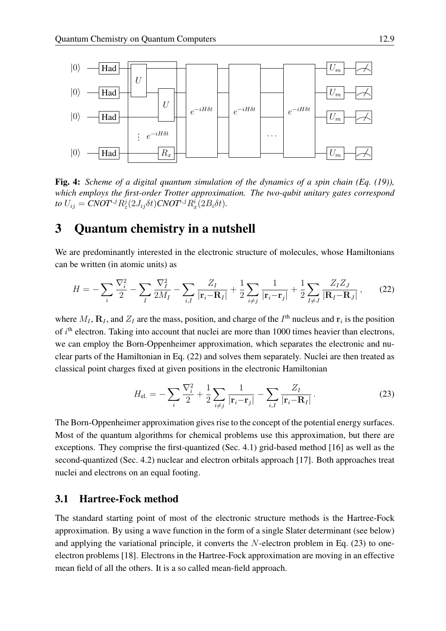

<span id="page-8-2"></span>Fig. 4: *Scheme of a digital quantum simulation of the dynamics of a spin chain (Eq. [\(19\)](#page-7-0)), which employs the first-order Trotter approximation. The two-qubit unitary gates correspond* to  $U_{ij} = \text{CNOT}^{i,j} R_z^j (2J_{ij} \delta t) \text{CNOT}^{i,j} R_x^i (2B_i \delta t)$ *.* 

### <span id="page-8-0"></span>3 Quantum chemistry in a nutshell

We are predominantly interested in the electronic structure of molecules, whose Hamiltonians can be written (in atomic units) as

<span id="page-8-3"></span>
$$
H = -\sum_{i} \frac{\nabla_i^2}{2} - \sum_{I} \frac{\nabla_I^2}{2M_I} - \sum_{i,I} \frac{Z_I}{|\mathbf{r}_i - \mathbf{R}_I|} + \frac{1}{2} \sum_{i \neq j} \frac{1}{|\mathbf{r}_i - \mathbf{r}_j|} + \frac{1}{2} \sum_{I \neq J} \frac{Z_I Z_J}{|\mathbf{R}_I - \mathbf{R}_J|},\qquad(22)
$$

where  $M_I$ ,  $\mathbf{R}_I$ , and  $Z_I$  are the mass, position, and charge of the  $I^{\text{th}}$  nucleus and  $\mathbf{r}_i$  is the position of  $i<sup>th</sup>$  electron. Taking into account that nuclei are more than 1000 times heavier than electrons, we can employ the Born-Oppenheimer approximation, which separates the electronic and nuclear parts of the Hamiltonian in Eq. [\(22\)](#page-8-3) and solves them separately. Nuclei are then treated as classical point charges fixed at given positions in the electronic Hamiltonian

<span id="page-8-4"></span>
$$
H_{\rm el.} = -\sum_{i} \frac{\nabla_i^2}{2} + \frac{1}{2} \sum_{i \neq j} \frac{1}{|\mathbf{r}_i - \mathbf{r}_j|} - \sum_{i,I} \frac{Z_I}{|\mathbf{r}_i - \mathbf{R}_I|}.
$$
 (23)

The Born-Oppenheimer approximation gives rise to the concept of the potential energy surfaces. Most of the quantum algorithms for chemical problems use this approximation, but there are exceptions. They comprise the first-quantized (Sec. [4.1\)](#page-18-0) grid-based method [\[16\]](#page-30-1) as well as the second-quantized (Sec. [4.2\)](#page-19-0) nuclear and electron orbitals approach [\[17\]](#page-30-2). Both approaches treat nuclei and electrons on an equal footing.

### <span id="page-8-1"></span>3.1 Hartree-Fock method

The standard starting point of most of the electronic structure methods is the Hartree-Fock approximation. By using a wave function in the form of a single Slater determinant (see below) and applying the variational principle, it converts the  $N$ -electron problem in Eq. [\(23\)](#page-8-4) to oneelectron problems [\[18\]](#page-30-3). Electrons in the Hartree-Fock approximation are moving in an effective mean field of all the others. It is a so called mean-field approach.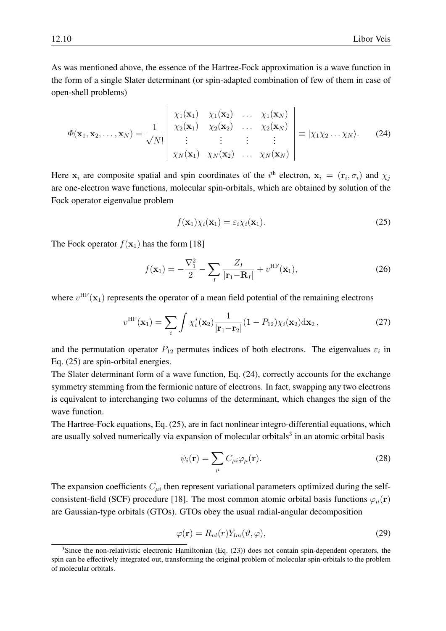As was mentioned above, the essence of the Hartree-Fock approximation is a wave function in the form of a single Slater determinant (or spin-adapted combination of few of them in case of open-shell problems)

<span id="page-9-1"></span>
$$
\Phi(\mathbf{x}_1, \mathbf{x}_2, \dots, \mathbf{x}_N) = \frac{1}{\sqrt{N!}} \begin{vmatrix} \chi_1(\mathbf{x}_1) & \chi_1(\mathbf{x}_2) & \dots & \chi_1(\mathbf{x}_N) \\ \chi_2(\mathbf{x}_1) & \chi_2(\mathbf{x}_2) & \dots & \chi_2(\mathbf{x}_N) \\ \vdots & \vdots & \vdots & \vdots \\ \chi_N(\mathbf{x}_1) & \chi_N(\mathbf{x}_2) & \dots & \chi_N(\mathbf{x}_N) \end{vmatrix} \equiv |\chi_1 \chi_2 \dots \chi_N\rangle.
$$
 (24)

Here  $x_i$  are composite spatial and spin coordinates of the i<sup>th</sup> electron,  $x_i = (r_i, \sigma_i)$  and  $\chi_j$ are one-electron wave functions, molecular spin-orbitals, which are obtained by solution of the Fock operator eigenvalue problem

<span id="page-9-0"></span>
$$
f(\mathbf{x}_1)\chi_i(\mathbf{x}_1) = \varepsilon_i\chi_i(\mathbf{x}_1). \tag{25}
$$

The Fock operator  $f(\mathbf{x}_1)$  has the form [\[18\]](#page-30-3)

$$
f(\mathbf{x}_1) = -\frac{\nabla_1^2}{2} - \sum_I \frac{Z_I}{|\mathbf{r}_1 - \mathbf{R}_I|} + v^{\text{HF}}(\mathbf{x}_1),
$$
 (26)

where  $v^{\text{HF}}(x_1)$  represents the operator of a mean field potential of the remaining electrons

$$
v^{\text{HF}}(\mathbf{x}_1) = \sum_{i} \int \chi_i^*(\mathbf{x}_2) \frac{1}{|\mathbf{r}_1 - \mathbf{r}_2|} (1 - P_{12}) \chi_i(\mathbf{x}_2) \, \mathrm{d}\mathbf{x}_2 \,, \tag{27}
$$

and the permutation operator  $P_{12}$  permutes indices of both electrons. The eigenvalues  $\varepsilon_i$  in Eq. [\(25\)](#page-9-0) are spin-orbital energies.

The Slater determinant form of a wave function, Eq. [\(24\)](#page-9-1), correctly accounts for the exchange symmetry stemming from the fermionic nature of electrons. In fact, swapping any two electrons is equivalent to interchanging two columns of the determinant, which changes the sign of the wave function.

The Hartree-Fock equations, Eq. [\(25\)](#page-9-0), are in fact nonlinear integro-differential equations, which are usually solved numerically via expansion of molecular orbitals<sup>[3](#page-9-2)</sup> in an atomic orbital basis

$$
\psi_i(\mathbf{r}) = \sum_{\mu} C_{\mu i} \varphi_{\mu}(\mathbf{r}).
$$
\n(28)

The expansion coefficients  $C_{\mu i}$  then represent variational parameters optimized during the self-consistent-field (SCF) procedure [\[18\]](#page-30-3). The most common atomic orbital basis functions  $\varphi_\mu(\mathbf{r})$ are Gaussian-type orbitals (GTOs). GTOs obey the usual radial-angular decomposition

$$
\varphi(\mathbf{r}) = R_{nl}(r)Y_{lm}(\vartheta, \varphi),\tag{29}
$$

<span id="page-9-2"></span><sup>&</sup>lt;sup>3</sup>Since the non-relativistic electronic Hamiltonian (Eq. [\(23\)](#page-8-4)) does not contain spin-dependent operators, the spin can be effectively integrated out, transforming the original problem of molecular spin-orbitals to the problem of molecular orbitals.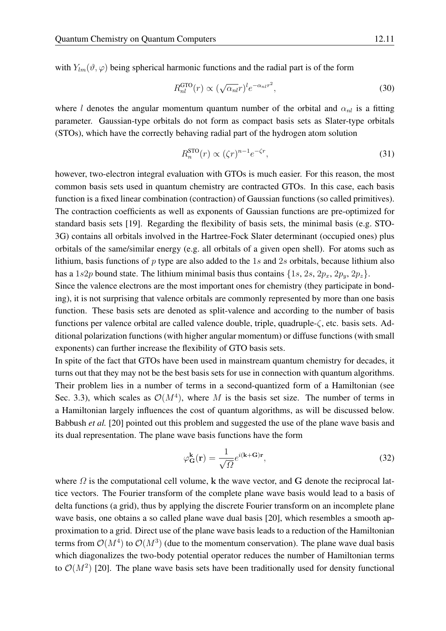with  $Y_{lm}(\vartheta, \varphi)$  being spherical harmonic functions and the radial part is of the form

$$
R_{nl}^{\text{GTO}}(r) \propto (\sqrt{\alpha_{nl}}r)^l e^{-\alpha_{nl}r^2},\tag{30}
$$

where l denotes the angular momentum quantum number of the orbital and  $\alpha_{nl}$  is a fitting parameter. Gaussian-type orbitals do not form as compact basis sets as Slater-type orbitals (STOs), which have the correctly behaving radial part of the hydrogen atom solution

$$
R_n^{\text{STO}}(r) \propto (\zeta r)^{n-1} e^{-\zeta r},\tag{31}
$$

however, two-electron integral evaluation with GTOs is much easier. For this reason, the most common basis sets used in quantum chemistry are contracted GTOs. In this case, each basis function is a fixed linear combination (contraction) of Gaussian functions (so called primitives). The contraction coefficients as well as exponents of Gaussian functions are pre-optimized for standard basis sets [\[19\]](#page-30-4). Regarding the flexibility of basis sets, the minimal basis (e.g. STO-3G) contains all orbitals involved in the Hartree-Fock Slater determinant (occupied ones) plus orbitals of the same/similar energy (e.g. all orbitals of a given open shell). For atoms such as lithium, basis functions of  $p$  type are also added to the 1s and 2s orbitals, because lithium also has a 1s2p bound state. The lithium minimal basis thus contains  $\{1s, 2s, 2p_x, 2p_y, 2p_z\}$ .

Since the valence electrons are the most important ones for chemistry (they participate in bonding), it is not surprising that valence orbitals are commonly represented by more than one basis function. These basis sets are denoted as split-valence and according to the number of basis functions per valence orbital are called valence double, triple, quadruple- $\zeta$ , etc. basis sets. Additional polarization functions (with higher angular momentum) or diffuse functions (with small exponents) can further increase the flexibility of GTO basis sets.

In spite of the fact that GTOs have been used in mainstream quantum chemistry for decades, it turns out that they may not be the best basis sets for use in connection with quantum algorithms. Their problem lies in a number of terms in a second-quantized form of a Hamiltonian (see Sec. [3.3\)](#page-13-0), which scales as  $\mathcal{O}(M^4)$ , where M is the basis set size. The number of terms in a Hamiltonian largely influences the cost of quantum algorithms, as will be discussed below. Babbush *et al.* [\[20\]](#page-30-5) pointed out this problem and suggested the use of the plane wave basis and its dual representation. The plane wave basis functions have the form

$$
\varphi_{\mathbf{G}}^{\mathbf{k}}(\mathbf{r}) = \frac{1}{\sqrt{\Omega}} e^{i(\mathbf{k} + \mathbf{G})\mathbf{r}},
$$
\n(32)

where  $\Omega$  is the computational cell volume, k the wave vector, and G denote the reciprocal lattice vectors. The Fourier transform of the complete plane wave basis would lead to a basis of delta functions (a grid), thus by applying the discrete Fourier transform on an incomplete plane wave basis, one obtains a so called plane wave dual basis [\[20\]](#page-30-5), which resembles a smooth approximation to a grid. Direct use of the plane wave basis leads to a reduction of the Hamiltonian terms from  $\mathcal{O}(M^4)$  to  $\mathcal{O}(M^3)$  (due to the momentum conservation). The plane wave dual basis which diagonalizes the two-body potential operator reduces the number of Hamiltonian terms to  $\mathcal{O}(M^2)$  [\[20\]](#page-30-5). The plane wave basis sets have been traditionally used for density functional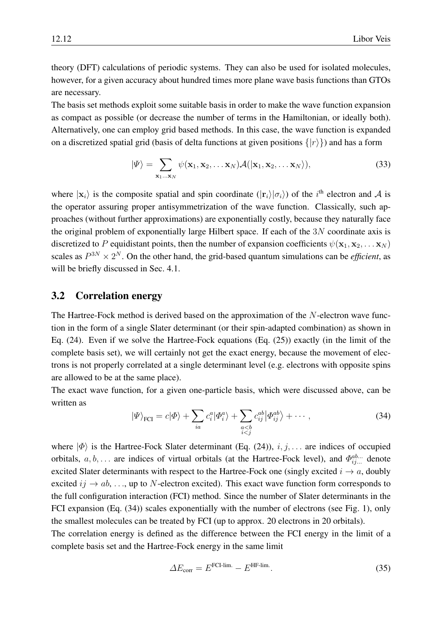theory (DFT) calculations of periodic systems. They can also be used for isolated molecules, however, for a given accuracy about hundred times more plane wave basis functions than GTOs are necessary.

The basis set methods exploit some suitable basis in order to make the wave function expansion as compact as possible (or decrease the number of terms in the Hamiltonian, or ideally both). Alternatively, one can employ grid based methods. In this case, the wave function is expanded on a discretized spatial grid (basis of delta functions at given positions  $\{|r\rangle\}$ ) and has a form

<span id="page-11-2"></span>
$$
|\Psi\rangle = \sum_{\mathbf{x}_1...\mathbf{x}_N} \psi(\mathbf{x}_1, \mathbf{x}_2,... \mathbf{x}_N) \mathcal{A}(|\mathbf{x}_1, \mathbf{x}_2,... \mathbf{x}_N\rangle),
$$
 (33)

where  $|x_i\rangle$  is the composite spatial and spin coordinate  $(|r_i\rangle|\sigma_i\rangle)$  of the  $i^{\text{th}}$  electron and A is the operator assuring proper antisymmetrization of the wave function. Classically, such approaches (without further approximations) are exponentially costly, because they naturally face the original problem of exponentially large Hilbert space. If each of the 3N coordinate axis is discretized to P equidistant points, then the number of expansion coefficients  $\psi(\mathbf{x}_1, \mathbf{x}_2, \dots \mathbf{x}_N)$ scales as  $P^{3N} \times 2^N$ . On the other hand, the grid-based quantum simulations can be *efficient*, as will be briefly discussed in Sec. [4.1.](#page-18-0)

### <span id="page-11-0"></span>3.2 Correlation energy

The Hartree-Fock method is derived based on the approximation of the N-electron wave function in the form of a single Slater determinant (or their spin-adapted combination) as shown in Eq. [\(24\)](#page-9-1). Even if we solve the Hartree-Fock equations (Eq. [\(25\)](#page-9-0)) exactly (in the limit of the complete basis set), we will certainly not get the exact energy, because the movement of electrons is not properly correlated at a single determinant level (e.g. electrons with opposite spins are allowed to be at the same place).

The exact wave function, for a given one-particle basis, which were discussed above, can be written as

<span id="page-11-1"></span>
$$
|\Psi\rangle_{\text{FCI}} = c|\Phi\rangle + \sum_{ia} c_i^a |\Phi_i^a\rangle + \sum_{\substack{a
$$

where  $|\Phi\rangle$  is the Hartree-Fock Slater determinant (Eq. [\(24\)](#page-9-1)),  $i, j, \ldots$  are indices of occupied orbitals,  $a, b, \ldots$  are indices of virtual orbitals (at the Hartree-Fock level), and  $\Phi_{ij...}^{ab...}$  denote excited Slater determinants with respect to the Hartree-Fock one (singly excited  $i \rightarrow a$ , doubly excited  $ij \rightarrow ab$ , ..., up to N-electron excited). This exact wave function form corresponds to the full configuration interaction (FCI) method. Since the number of Slater determinants in the FCI expansion (Eq. [\(34\)](#page-11-1)) scales exponentially with the number of electrons (see Fig. [1\)](#page-2-2), only the smallest molecules can be treated by FCI (up to approx. 20 electrons in 20 orbitals).

The correlation energy is defined as the difference between the FCI energy in the limit of a complete basis set and the Hartree-Fock energy in the same limit

$$
\Delta E_{\text{corr}} = E^{\text{FCI-lim.}} - E^{\text{HF-lim.}}.
$$
\n(35)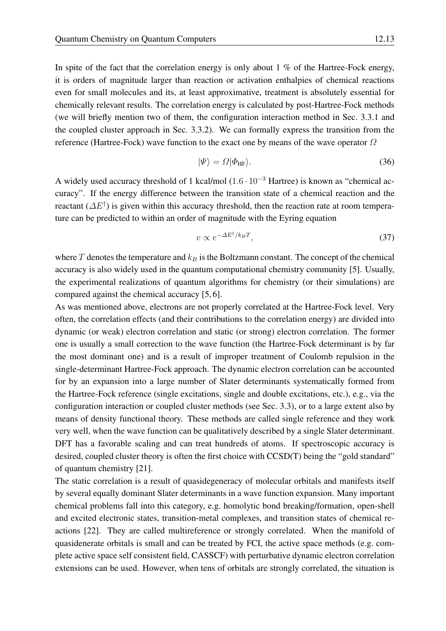In spite of the fact that the correlation energy is only about 1 % of the Hartree-Fock energy, it is orders of magnitude larger than reaction or activation enthalpies of chemical reactions even for small molecules and its, at least approximative, treatment is absolutely essential for chemically relevant results. The correlation energy is calculated by post-Hartree-Fock methods (we will briefly mention two of them, the configuration interaction method in Sec. [3.3.1](#page-15-0) and the coupled cluster approach in Sec. [3.3.2\)](#page-16-0). We can formally express the transition from the reference (Hartree-Fock) wave function to the exact one by means of the wave operator  $\Omega$ 

<span id="page-12-0"></span>
$$
|\Psi\rangle = \Omega |\Phi_{\text{HF}}\rangle. \tag{36}
$$

A widely used accuracy threshold of 1 kcal/mol  $(1.6 \cdot 10^{-3}$  Hartree) is known as "chemical accuracy". If the energy difference between the transition state of a chemical reaction and the reactant ( $\Delta E^{\dagger}$ ) is given within this accuracy threshold, then the reaction rate at room temperature can be predicted to within an order of magnitude with the Eyring equation

$$
v \propto e^{-\Delta E^{\dagger}/k_B T},\tag{37}
$$

where  $T$  denotes the temperature and  $k_B$  is the Boltzmann constant. The concept of the chemical accuracy is also widely used in the quantum computational chemistry community [\[5\]](#page-29-2). Usually, the experimental realizations of quantum algorithms for chemistry (or their simulations) are compared against the chemical accuracy [\[5,](#page-29-2) [6\]](#page-29-4).

As was mentioned above, electrons are not properly correlated at the Hartree-Fock level. Very often, the correlation effects (and their contributions to the correlation energy) are divided into dynamic (or weak) electron correlation and static (or strong) electron correlation. The former one is usually a small correction to the wave function (the Hartree-Fock determinant is by far the most dominant one) and is a result of improper treatment of Coulomb repulsion in the single-determinant Hartree-Fock approach. The dynamic electron correlation can be accounted for by an expansion into a large number of Slater determinants systematically formed from the Hartree-Fock reference (single excitations, single and double excitations, etc.), e.g., via the configuration interaction or coupled cluster methods (see Sec. [3.3\)](#page-13-0), or to a large extent also by means of density functional theory. These methods are called single reference and they work very well, when the wave function can be qualitatively described by a single Slater determinant. DFT has a favorable scaling and can treat hundreds of atoms. If spectroscopic accuracy is desired, coupled cluster theory is often the first choice with CCSD(T) being the "gold standard" of quantum chemistry [\[21\]](#page-30-6).

The static correlation is a result of quasidegeneracy of molecular orbitals and manifests itself by several equally dominant Slater determinants in a wave function expansion. Many important chemical problems fall into this category, e.g. homolytic bond breaking/formation, open-shell and excited electronic states, transition-metal complexes, and transition states of chemical reactions [\[22\]](#page-30-7). They are called multireference or strongly correlated. When the manifold of quasidenerate orbitals is small and can be treated by FCI, the active space methods (e.g. complete active space self consistent field, CASSCF) with perturbative dynamic electron correlation extensions can be used. However, when tens of orbitals are strongly correlated, the situation is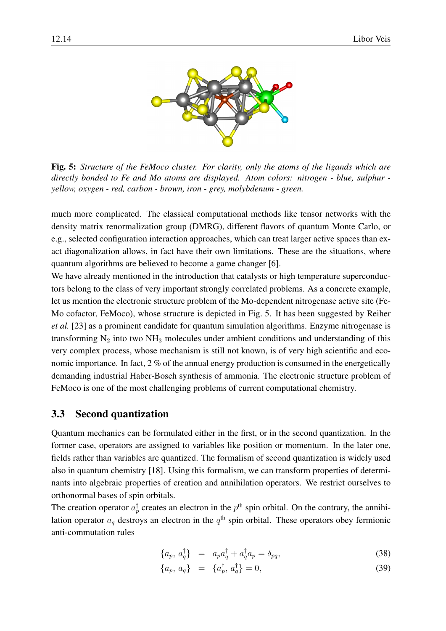

<span id="page-13-1"></span>Fig. 5: *Structure of the FeMoco cluster. For clarity, only the atoms of the ligands which are directly bonded to Fe and Mo atoms are displayed. Atom colors: nitrogen - blue, sulphur yellow, oxygen - red, carbon - brown, iron - grey, molybdenum - green.*

much more complicated. The classical computational methods like tensor networks with the density matrix renormalization group (DMRG), different flavors of quantum Monte Carlo, or e.g., selected configuration interaction approaches, which can treat larger active spaces than exact diagonalization allows, in fact have their own limitations. These are the situations, where quantum algorithms are believed to become a game changer [\[6\]](#page-29-4).

We have already mentioned in the introduction that catalysts or high temperature superconductors belong to the class of very important strongly correlated problems. As a concrete example, let us mention the electronic structure problem of the Mo-dependent nitrogenase active site (Fe-Mo cofactor, FeMoco), whose structure is depicted in Fig. [5.](#page-13-1) It has been suggested by Reiher *et al.* [\[23\]](#page-30-8) as a prominent candidate for quantum simulation algorithms. Enzyme nitrogenase is transforming  $N_2$  into two  $NH_3$  molecules under ambient conditions and understanding of this very complex process, whose mechanism is still not known, is of very high scientific and economic importance. In fact, 2 % of the annual energy production is consumed in the energetically demanding industrial Haber-Bosch synthesis of ammonia. The electronic structure problem of FeMoco is one of the most challenging problems of current computational chemistry.

### <span id="page-13-0"></span>3.3 Second quantization

Quantum mechanics can be formulated either in the first, or in the second quantization. In the former case, operators are assigned to variables like position or momentum. In the later one, fields rather than variables are quantized. The formalism of second quantization is widely used also in quantum chemistry [\[18\]](#page-30-3). Using this formalism, we can transform properties of determinants into algebraic properties of creation and annihilation operators. We restrict ourselves to orthonormal bases of spin orbitals.

The creation operator  $a_p^{\dagger}$  creates an electron in the  $p^{\text{th}}$  spin orbital. On the contrary, the annihilation operator  $a_q$  destroys an electron in the  $q<sup>th</sup>$  spin orbital. These operators obey fermionic anti-commutation rules

<span id="page-13-2"></span>
$$
\{a_p, a_q^{\dagger}\} = a_p a_q^{\dagger} + a_q^{\dagger} a_p = \delta_{pq}, \qquad (38)
$$

$$
\{a_p, a_q\} = \{a_p^{\dagger}, a_q^{\dagger}\} = 0,\tag{39}
$$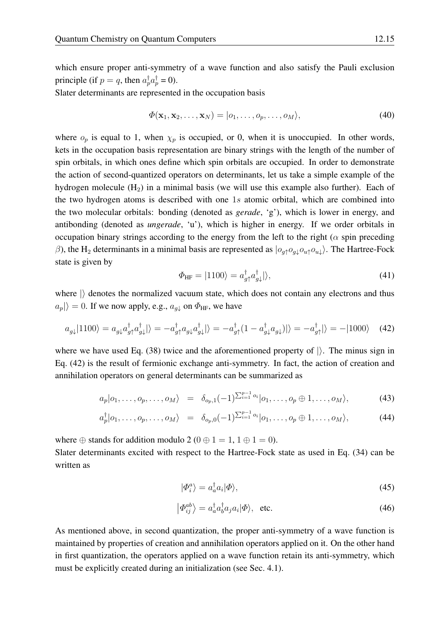which ensure proper anti-symmetry of a wave function and also satisfy the Pauli exclusion principle (if  $p = q$ , then  $a_p^{\dagger} a_p^{\dagger} = 0$ ).

Slater determinants are represented in the occupation basis

<span id="page-14-1"></span>
$$
\Phi(\mathbf{x}_1, \mathbf{x}_2, \dots, \mathbf{x}_N) = |o_1, \dots, o_p, \dots, o_M\rangle, \tag{40}
$$

where  $o_p$  is equal to 1, when  $\chi_p$  is occupied, or 0, when it is unoccupied. In other words, kets in the occupation basis representation are binary strings with the length of the number of spin orbitals, in which ones define which spin orbitals are occupied. In order to demonstrate the action of second-quantized operators on determinants, let us take a simple example of the hydrogen molecule  $(H_2)$  in a minimal basis (we will use this example also further). Each of the two hydrogen atoms is described with one 1s atomic orbital, which are combined into the two molecular orbitals: bonding (denoted as *gerade*, 'g'), which is lower in energy, and antibonding (denoted as *ungerade*, 'u'), which is higher in energy. If we order orbitals in occupation binary strings according to the energy from the left to the right ( $\alpha$  spin preceding β), the H<sub>2</sub> determinants in a minimal basis are represented as  $|o_{q\uparrow}o_{q\downarrow}o_{u\uparrow}o_{u\downarrow}\rangle$ . The Hartree-Fock state is given by

$$
\Phi_{\rm HF} = |1100\rangle = a_{g\uparrow}^{\dagger} a_{g\downarrow}^{\dagger}| \rangle,\tag{41}
$$

where  $\ket{}$  denotes the normalized vacuum state, which does not contain any electrons and thus  $|a_p|\rangle = 0$ . If we now apply, e.g.,  $a_{q\downarrow}$  on  $\Phi_{HF}$ , we have

<span id="page-14-0"></span>
$$
a_{g\downarrow}|1100\rangle = a_{g\downarrow}a_{g\uparrow}^{\dagger}a_{g\downarrow}^{\dagger}|\rangle = -a_{g\uparrow}^{\dagger}a_{g\downarrow}a_{g\downarrow}^{\dagger}|\rangle = -a_{g\uparrow}^{\dagger}(1 - a_{g\downarrow}^{\dagger}a_{g\downarrow})|\rangle = -a_{g\uparrow}^{\dagger}|\rangle = -|1000\rangle \tag{42}
$$

where we have used Eq. [\(38\)](#page-13-2) twice and the aforementioned property of  $\vert$ . The minus sign in Eq. [\(42\)](#page-14-0) is the result of fermionic exchange anti-symmetry. In fact, the action of creation and annihilation operators on general determinants can be summarized as

<span id="page-14-2"></span>
$$
a_p|o_1,\ldots,o_p,\ldots,o_M\rangle = \delta_{o_p,1}(-1)^{\sum_{i=1}^{p-1} o_i} |o_1,\ldots,o_p \oplus 1,\ldots,o_M\rangle, \tag{43}
$$

$$
a_p^{\dagger}|o_1,\ldots,o_p,\ldots,o_M\rangle = \delta_{o_p,0}(-1)^{\sum_{i=1}^{p-1} o_i}|o_1,\ldots,o_p \oplus 1,\ldots,o_M\rangle, \tag{44}
$$

where  $\oplus$  stands for addition modulo 2 (0  $\oplus$  1 = 1, 1  $\oplus$  1 = 0).

Slater determinants excited with respect to the Hartree-Fock state as used in Eq. [\(34\)](#page-11-1) can be written as

$$
|\Phi_i^a\rangle = a_a^\dagger a_i |\Phi\rangle,\tag{45}
$$

$$
\left|\Phi_{ij}^{ab}\right\rangle = a_a^{\dagger} a_b^{\dagger} a_j a_i | \Phi \rangle, \text{ etc.}
$$
 (46)

As mentioned above, in second quantization, the proper anti-symmetry of a wave function is maintained by properties of creation and annihilation operators applied on it. On the other hand in first quantization, the operators applied on a wave function retain its anti-symmetry, which must be explicitly created during an initialization (see Sec. [4.1\)](#page-18-0).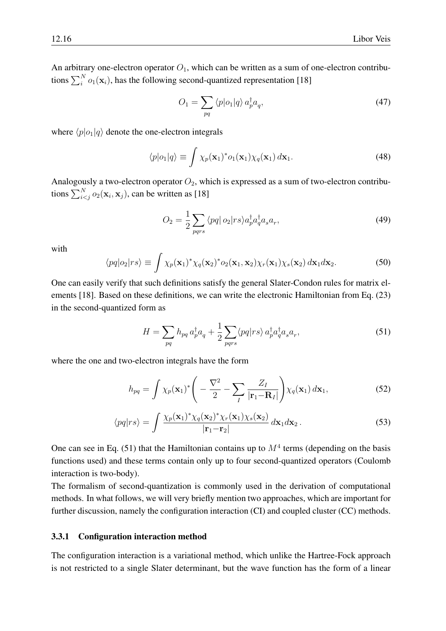An arbitrary one-electron operator  $O_1$ , which can be written as a sum of one-electron contributions  $\sum_{i}^{N} o_1(\mathbf{x}_i)$ , has the following second-quantized representation [\[18\]](#page-30-3)

$$
O_1 = \sum_{pq} \langle p|o_1|q \rangle a_p^{\dagger} a_q, \tag{47}
$$

where  $\langle p|o_1|q \rangle$  denote the one-electron integrals

$$
\langle p|o_1|q\rangle \equiv \int \chi_p(\mathbf{x}_1)^* o_1(\mathbf{x}_1) \chi_q(\mathbf{x}_1) \, d\mathbf{x}_1.
$$
 (48)

Analogously a two-electron operator  $O_2$ , which is expressed as a sum of two-electron contributions  $\sum_{i < j}^{N} o_2(\mathbf{x}_i, \mathbf{x}_j)$ , can be written as [\[18\]](#page-30-3)

$$
O_2 = \frac{1}{2} \sum_{pqrs} \langle pq | o_2 | rs \rangle a_p^{\dagger} a_q^{\dagger} a_s a_r, \tag{49}
$$

with

$$
\langle pq|o_2|rs\rangle \equiv \int \chi_p(\mathbf{x}_1)^* \chi_q(\mathbf{x}_2)^* o_2(\mathbf{x}_1, \mathbf{x}_2) \chi_r(\mathbf{x}_1) \chi_s(\mathbf{x}_2) d\mathbf{x}_1 d\mathbf{x}_2.
$$
 (50)

One can easily verify that such definitions satisfy the general Slater-Condon rules for matrix elements [\[18\]](#page-30-3). Based on these definitions, we can write the electronic Hamiltonian from Eq. [\(23\)](#page-8-4) in the second-quantized form as

<span id="page-15-3"></span><span id="page-15-2"></span><span id="page-15-1"></span>
$$
H = \sum_{pq} h_{pq} a_p^{\dagger} a_q + \frac{1}{2} \sum_{pqrs} \langle pq|rs \rangle a_p^{\dagger} a_q^{\dagger} a_s a_r, \tag{51}
$$

where the one and two-electron integrals have the form

$$
h_{pq} = \int \chi_p(\mathbf{x}_1)^* \left( -\frac{\nabla^2}{2} - \sum_I \frac{Z_I}{|\mathbf{r}_1 - \mathbf{R}_I|} \right) \chi_q(\mathbf{x}_1) d\mathbf{x}_1,
$$
 (52)

$$
\langle pq|rs\rangle = \int \frac{\chi_p(\mathbf{x}_1)^* \chi_q(\mathbf{x}_2)^* \chi_r(\mathbf{x}_1) \chi_s(\mathbf{x}_2)}{|\mathbf{r}_1 - \mathbf{r}_2|} d\mathbf{x}_1 d\mathbf{x}_2.
$$
 (53)

One can see in Eq. [\(51\)](#page-15-1) that the Hamiltonian contains up to  $M<sup>4</sup>$  terms (depending on the basis functions used) and these terms contain only up to four second-quantized operators (Coulomb interaction is two-body).

The formalism of second-quantization is commonly used in the derivation of computational methods. In what follows, we will very briefly mention two approaches, which are important for further discussion, namely the configuration interaction (CI) and coupled cluster (CC) methods.

#### <span id="page-15-0"></span>3.3.1 Configuration interaction method

The configuration interaction is a variational method, which unlike the Hartree-Fock approach is not restricted to a single Slater determinant, but the wave function has the form of a linear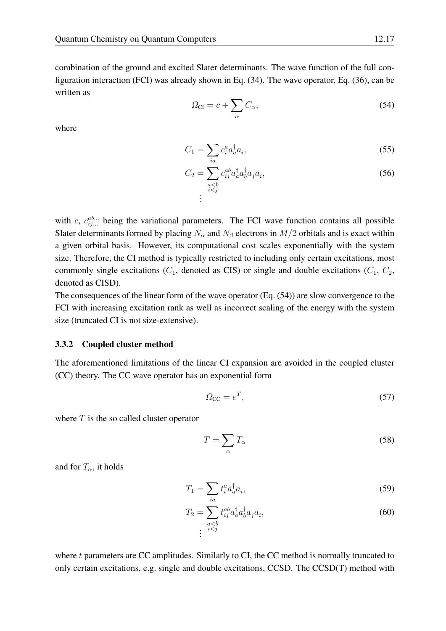combination of the ground and excited Slater determinants. The wave function of the full configuration interaction (FCI) was already shown in Eq. [\(34\)](#page-11-1). The wave operator, Eq. [\(36\)](#page-12-0), can be written as

<span id="page-16-1"></span>
$$
\Omega_{\text{CI}} = c + \sum_{\alpha} C_{\alpha},\tag{54}
$$

where

$$
C_1 = \sum_{ia} c_i^a a_a^\dagger a_i,\tag{55}
$$

$$
C_2 = \sum_{\substack{a < b \\ i < j}} c_{ij}^{ab} a_a^{\dagger} a_b^{\dagger} a_j a_i,\tag{56}
$$

with c,  $c_{ij...}^{ab...}$  being the variational parameters. The FCI wave function contains all possible Slater determinants formed by placing  $N_{\alpha}$  and  $N_{\beta}$  electrons in  $M/2$  orbitals and is exact within a given orbital basis. However, its computational cost scales exponentially with the system size. Therefore, the CI method is typically restricted to including only certain excitations, most commonly single excitations  $(C_1,$  denoted as CIS) or single and double excitations  $(C_1, C_2,$ denoted as CISD).

The consequences of the linear form of the wave operator (Eq. [\(54\)](#page-16-1)) are slow convergence to the FCI with increasing excitation rank as well as incorrect scaling of the energy with the system size (truncated CI is not size-extensive).

#### <span id="page-16-0"></span>3.3.2 Coupled cluster method

The aforementioned limitations of the linear CI expansion are avoided in the coupled cluster (CC) theory. The CC wave operator has an exponential form

<span id="page-16-2"></span>
$$
\Omega_{\rm CC} = e^T,\tag{57}
$$

where  $T$  is the so called cluster operator

$$
T = \sum_{\alpha} T_{\alpha} \tag{58}
$$

and for  $T_{\alpha}$ , it holds

$$
T_1 = \sum_{ia} t_i^a a_a^\dagger a_i,\tag{59}
$$

$$
T_2 = \sum_{\substack{a < b \\ i < j}} t_{ij}^{ab} a_a^{\dagger} a_b^{\dagger} a_j a_i,\tag{60}
$$

where  $t$  parameters are CC amplitudes. Similarly to CI, the CC method is normally truncated to only certain excitations, e.g. single and double excitations, CCSD. The CCSD(T) method with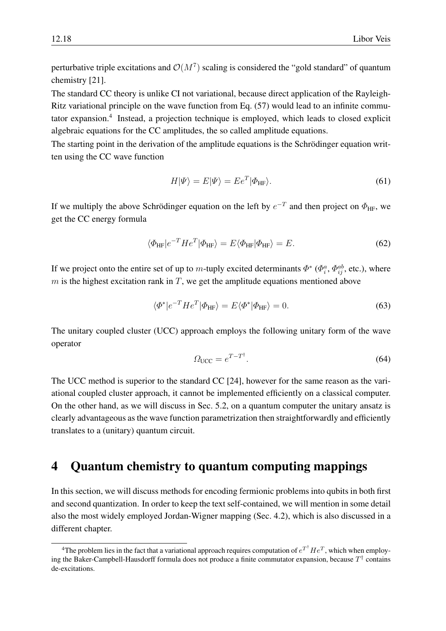perturbative triple excitations and  $\mathcal{O}(M^7)$  scaling is considered the "gold standard" of quantum chemistry [\[21\]](#page-30-6).

The standard CC theory is unlike CI not variational, because direct application of the Rayleigh-Ritz variational principle on the wave function from Eq. [\(57\)](#page-16-2) would lead to an infinite commu-tator expansion.<sup>[4](#page-17-1)</sup> Instead, a projection technique is employed, which leads to closed explicit algebraic equations for the CC amplitudes, the so called amplitude equations.

The starting point in the derivation of the amplitude equations is the Schrödinger equation written using the CC wave function

$$
H|\Psi\rangle = E|\Psi\rangle = E e^T |\Phi_{\text{HF}}\rangle. \tag{61}
$$

If we multiply the above Schrödinger equation on the left by  $e^{-T}$  and then project on  $\Phi_{HF}$ , we get the CC energy formula

$$
\langle \Phi_{\text{HF}} | e^{-T} H e^{T} | \Phi_{\text{HF}} \rangle = E \langle \Phi_{\text{HF}} | \Phi_{\text{HF}} \rangle = E. \tag{62}
$$

If we project onto the entire set of up to m-tuply excited determinants  $\Phi^*$  ( $\Phi_i^a$ ,  $\Phi_{ij}^{ab}$ , etc.), where  $m$  is the highest excitation rank in  $T$ , we get the amplitude equations mentioned above

$$
\langle \Phi^* | e^{-T} H e^T | \Phi_{\text{HF}} \rangle = E \langle \Phi^* | \Phi_{\text{HF}} \rangle = 0. \tag{63}
$$

The unitary coupled cluster (UCC) approach employs the following unitary form of the wave operator

$$
\Omega_{\text{UCC}} = e^{T - T^{\dagger}}.\tag{64}
$$

The UCC method is superior to the standard CC [\[24\]](#page-30-9), however for the same reason as the variational coupled cluster approach, it cannot be implemented efficiently on a classical computer. On the other hand, as we will discuss in Sec. [5.2,](#page-26-0) on a quantum computer the unitary ansatz is clearly advantageous as the wave function parametrization then straightforwardly and efficiently translates to a (unitary) quantum circuit.

## <span id="page-17-0"></span>4 Quantum chemistry to quantum computing mappings

In this section, we will discuss methods for encoding fermionic problems into qubits in both first and second quantization. In order to keep the text self-contained, we will mention in some detail also the most widely employed Jordan-Wigner mapping (Sec. [4.2\)](#page-19-0), which is also discussed in a different chapter.

<span id="page-17-1"></span><sup>&</sup>lt;sup>4</sup>The problem lies in the fact that a variational approach requires computation of  $e^{T^{\dagger}}He^{T}$ , which when employing the Baker-Campbell-Hausdorff formula does not produce a finite commutator expansion, because  $T^{\dagger}$  contains de-excitations.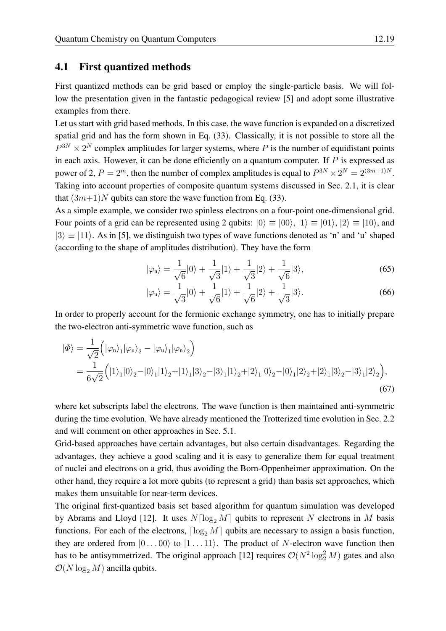### <span id="page-18-0"></span>4.1 First quantized methods

First quantized methods can be grid based or employ the single-particle basis. We will follow the presentation given in the fantastic pedagogical review [\[5\]](#page-29-2) and adopt some illustrative examples from there.

Let us start with grid based methods. In this case, the wave function is expanded on a discretized spatial grid and has the form shown in Eq. [\(33\)](#page-11-2). Classically, it is not possible to store all the  $P^{3N} \times 2^N$  complex amplitudes for larger systems, where P is the number of equidistant points in each axis. However, it can be done efficiently on a quantum computer. If  $P$  is expressed as power of 2,  $P = 2^m$ , then the number of complex amplitudes is equal to  $P^{3N} \times 2^N = 2^{(3m+1)N}$ . Taking into account properties of composite quantum systems discussed in Sec. [2.1,](#page-2-1) it is clear that  $(3m+1)N$  qubits can store the wave function from Eq. [\(33\)](#page-11-2).

As a simple example, we consider two spinless electrons on a four-point one-dimensional grid. Four points of a grid can be represented using 2 qubits:  $|0\rangle \equiv |00\rangle$ ,  $|1\rangle \equiv |01\rangle$ ,  $|2\rangle \equiv |10\rangle$ , and  $|3\rangle \equiv |11\rangle$ . As in [\[5\]](#page-29-2), we distinguish two types of wave functions denoted as 'n' and 'u' shaped (according to the shape of amplitudes distribution). They have the form

$$
|\varphi_n\rangle = \frac{1}{\sqrt{6}}|0\rangle + \frac{1}{\sqrt{3}}|1\rangle + \frac{1}{\sqrt{3}}|2\rangle + \frac{1}{\sqrt{6}}|3\rangle,\tag{65}
$$

$$
|\varphi_u\rangle = \frac{1}{\sqrt{3}}|0\rangle + \frac{1}{\sqrt{6}}|1\rangle + \frac{1}{\sqrt{6}}|2\rangle + \frac{1}{\sqrt{3}}|3\rangle.
$$
 (66)

In order to properly account for the fermionic exchange symmetry, one has to initially prepare the two-electron anti-symmetric wave function, such as

$$
\begin{split} |\Phi\rangle &= \frac{1}{\sqrt{2}} \Big( |\varphi_{\mathsf{n}}\rangle_{1} |\varphi_{\mathsf{u}}\rangle_{2} - |\varphi_{\mathsf{u}}\rangle_{1} |\varphi_{\mathsf{n}}\rangle_{2} \Big) \\ &= \frac{1}{6\sqrt{2}} \Big( |1\rangle_{1} |0\rangle_{2} - |0\rangle_{1} |1\rangle_{2} + |1\rangle_{1} |3\rangle_{2} - |3\rangle_{1} |1\rangle_{2} + |2\rangle_{1} |0\rangle_{2} - |0\rangle_{1} |2\rangle_{2} + |2\rangle_{1} |3\rangle_{2} - |3\rangle_{1} |2\rangle_{2} \Big), \end{split} \tag{67}
$$

where ket subscripts label the electrons. The wave function is then maintained anti-symmetric during the time evolution. We have already mentioned the Trotterized time evolution in Sec. [2.2](#page-6-0) and will comment on other approaches in Sec. [5.1.](#page-22-1)

Grid-based approaches have certain advantages, but also certain disadvantages. Regarding the advantages, they achieve a good scaling and it is easy to generalize them for equal treatment of nuclei and electrons on a grid, thus avoiding the Born-Oppenheimer approximation. On the other hand, they require a lot more qubits (to represent a grid) than basis set approaches, which makes them unsuitable for near-term devices.

The original first-quantized basis set based algorithm for quantum simulation was developed by Abrams and Lloyd [\[12\]](#page-29-11). It uses  $N\lceil \log_2 M \rceil$  qubits to represent N electrons in M basis functions. For each of the electrons,  $\lceil \log_2 M \rceil$  qubits are necessary to assign a basis function, they are ordered from  $|0 \dots 00\rangle$  to  $|1 \dots 11\rangle$ . The product of N-electron wave function then has to be antisymmetrized. The original approach [\[12\]](#page-29-11) requires  $\mathcal{O}(N^2 \log_2^2 M)$  gates and also  $\mathcal{O}(N \log_2 M)$  ancilla qubits.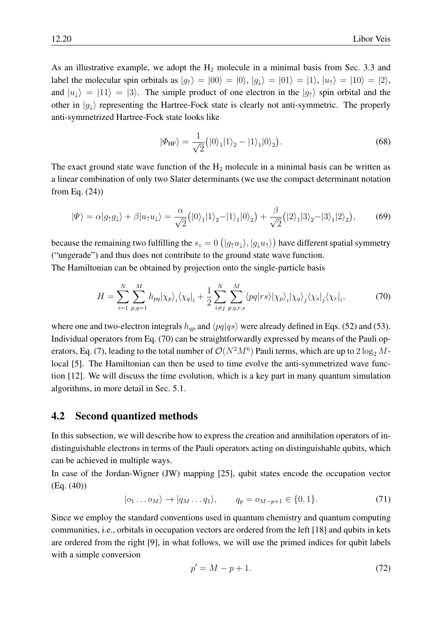As an illustrative example, we adopt the  $H_2$  molecule in a minimal basis from Sec. [3.3](#page-13-0) and label the molecular spin orbitals as  $|g_1\rangle = |00\rangle = |0\rangle$ ,  $|g_1\rangle = |01\rangle = |1\rangle$ ,  $|u_1\rangle = |10\rangle = |2\rangle$ , and  $|u_{\perp}\rangle = |11\rangle = |3\rangle$ . The simple product of one electron in the  $|g_{\uparrow}\rangle$  spin orbital and the other in  $|g_{\perp}\rangle$  representing the Hartree-Fock state is clearly not anti-symmetric. The properly anti-symmetrized Hartree-Fock state looks like

$$
|\Phi_{\rm HF}\rangle = \frac{1}{\sqrt{2}} (|0\rangle_1 |1\rangle_2 - |1\rangle_1 |0\rangle_2). \tag{68}
$$

The exact ground state wave function of the  $H_2$  molecule in a minimal basis can be written as a linear combination of only two Slater determinants (we use the compact determinant notation from Eq. [\(24\)](#page-9-1))

$$
|\Psi\rangle = \alpha|g_{\uparrow}g_{\downarrow}\rangle + \beta|u_{\uparrow}u_{\downarrow}\rangle = \frac{\alpha}{\sqrt{2}}(|0\rangle_{1}|1\rangle_{2} - |1\rangle_{1}|0\rangle_{2}) + \frac{\beta}{\sqrt{2}}(|2\rangle_{1}|3\rangle_{2} - |3\rangle_{1}|2\rangle_{2}),\tag{69}
$$

because the remaining two fulfilling the  $s_z=0\ (|g_\uparrow u_\downarrow\rangle, |g_\downarrow u_\uparrow\rangle)$  have different spatial symmetry ("ungerade") and thus does not contribute to the ground state wave function.

The Hamiltonian can be obtained by projection onto the single-particle basis

<span id="page-19-1"></span>
$$
H = \sum_{i=1}^{N} \sum_{p,q=1}^{M} h_{pq} |\chi_p\rangle_i \langle \chi_q|_i + \frac{1}{2} \sum_{i \neq j}^{N} \sum_{p,q,r,s}^{M} \langle pq|rs \rangle |\chi_p\rangle_i |\chi_q\rangle_j \langle \chi_s|_j \langle \chi_r|_i, \tag{70}
$$

where one and two-electron integrals  $h_{qp}$  and  $\langle pq|qs\rangle$  were already defined in Eqs. [\(52\)](#page-15-2) and [\(53\)](#page-15-3). Individual operators from Eq. [\(70\)](#page-19-1) can be straightforwardly expressed by means of the Pauli op-erators, Eq. [\(7\)](#page-4-3), leading to the total number of  $\mathcal{O}(N^2M^6)$  Pauli terms, which are up to  $2\log_2 M$ local [\[5\]](#page-29-2). The Hamiltonian can then be used to time evolve the anti-symmetrized wave function [\[12\]](#page-29-11). We will discuss the time evolution, which is a key part in many quantum simulation algorithms, in more detail in Sec. [5.1.](#page-22-1)

#### <span id="page-19-0"></span>4.2 Second quantized methods

In this subsection, we will describe how to express the creation and annihilation operators of indistinguishable electrons in terms of the Pauli operators acting on distinguishable qubits, which can be achieved in multiple ways.

In case of the Jordan-Wigner (JW) mapping [\[25\]](#page-30-10), qubit states encode the occupation vector (Eq. [\(40\)](#page-14-1))

$$
|o_1 \dots o_M\rangle \to |q_M \dots q_1\rangle, \qquad q_p = o_{M-p+1} \in \{0, 1\}.
$$
 (71)

Since we employ the standard conventions used in quantum chemistry and quantum computing communities, i.e., orbitals in occupation vectors are ordered from the left [\[18\]](#page-30-3) and qubits in kets are ordered from the right [\[9\]](#page-29-8), in what follows, we will use the primed indices for qubit labels with a simple conversion

$$
p'=M-p+1.\t(72)
$$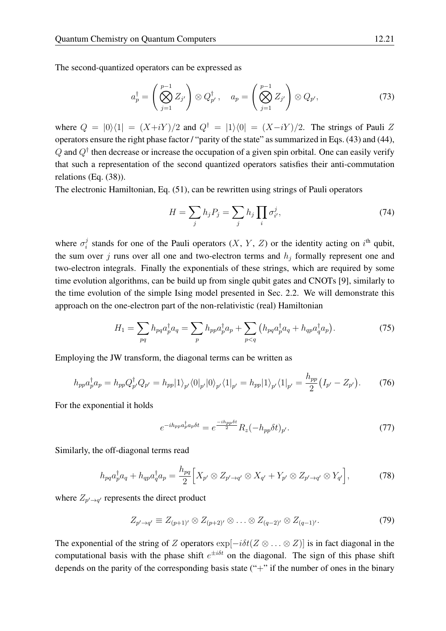The second-quantized operators can be expressed as

$$
a_p^{\dagger} = \left(\bigotimes_{j=1}^{p-1} Z_{j'}\right) \otimes Q_{p'}^{\dagger}, \quad a_p = \left(\bigotimes_{j=1}^{p-1} Z_{j'}\right) \otimes Q_{p'}, \tag{73}
$$

where  $Q = |0\rangle\langle 1| = (X+iY)/2$  and  $Q^{\dagger} = |1\rangle\langle 0| = (X-iY)/2$ . The strings of Pauli Z operators ensure the right phase factor / "parity of the state" as summarized in Eqs. [\(43\)](#page-14-2) and [\(44\)](#page-14-2),  $Q$  and  $Q^{\dagger}$  then decrease or increase the occupation of a given spin orbital. One can easily verify that such a representation of the second quantized operators satisfies their anti-commutation relations (Eq. [\(38\)](#page-13-2)).

The electronic Hamiltonian, Eq. [\(51\)](#page-15-1), can be rewritten using strings of Pauli operators

<span id="page-20-1"></span>
$$
H = \sum_{j} h_j P_j = \sum_{j} h_j \prod_{i} \sigma_{i'}^j,
$$
\n(74)

where  $\sigma_i^j$  $i$  stands for one of the Pauli operators  $(X, Y, Z)$  or the identity acting on  $i<sup>th</sup>$  qubit, the sum over j runs over all one and two-electron terms and  $h_j$  formally represent one and two-electron integrals. Finally the exponentials of these strings, which are required by some time evolution algorithms, can be build up from single qubit gates and CNOTs [\[9\]](#page-29-8), similarly to the time evolution of the simple Ising model presented in Sec. [2.2.](#page-6-0) We will demonstrate this approach on the one-electron part of the non-relativistic (real) Hamiltonian

$$
H_1 = \sum_{pq} h_{pq} a_p^{\dagger} a_q = \sum_p h_{pp} a_p^{\dagger} a_p + \sum_{p < q} \left( h_{pq} a_p^{\dagger} a_q + h_{qp} a_q^{\dagger} a_p \right). \tag{75}
$$

Employing the JW transform, the diagonal terms can be written as

$$
h_{pp}a_p^{\dagger}a_p = h_{pp}Q_{p'}^{\dagger}Q_{p'} = h_{pp}|1\rangle_{p'}\langle0|_{p'}|0\rangle_{p'}\langle1|_{p'} = h_{pp}|1\rangle_{p'}\langle1|_{p'} = \frac{h_{pp}}{2}(I_{p'} - Z_{p'}).
$$
 (76)

For the exponential it holds

$$
e^{-ih_{pp}a_p^{\dagger}a_p\delta t} = e^{\frac{-ih_{pp}\delta t}{2}}R_z(-h_{pp}\delta t)_{p'}.\tag{77}
$$

Similarly, the off-diagonal terms read

<span id="page-20-0"></span>
$$
h_{pq}a_p^{\dagger}a_q + h_{qp}a_q^{\dagger}a_p = \frac{h_{pq}}{2} \Big[ X_{p'} \otimes Z_{p' \to q'} \otimes X_{q'} + Y_{p'} \otimes Z_{p' \to q'} \otimes Y_{q'} \Big], \tag{78}
$$

where  $Z_{p' \to q'}$  represents the direct product

$$
Z_{p'\to q'} \equiv Z_{(p+1)'} \otimes Z_{(p+2)'} \otimes \ldots \otimes Z_{(q-2)'} \otimes Z_{(q-1)'}.
$$
 (79)

The exponential of the string of Z operators  $\exp[-i\delta t(Z \otimes \ldots \otimes Z)]$  is in fact diagonal in the computational basis with the phase shift  $e^{\pm i\delta t}$  on the diagonal. The sign of this phase shift depends on the parity of the corresponding basis state  $("+"$  if the number of ones in the binary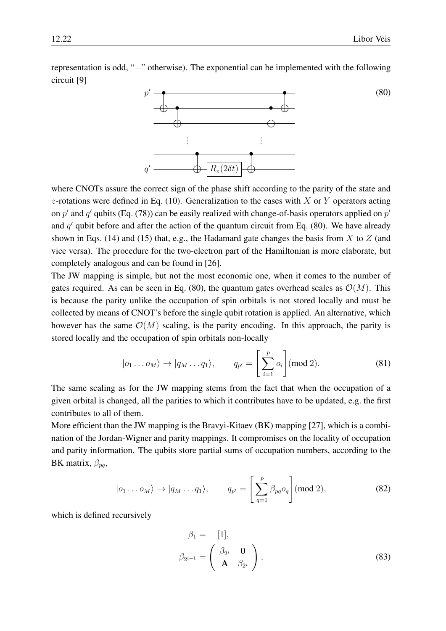representation is odd, "−" otherwise). The exponential can be implemented with the following circuit [\[9\]](#page-29-8)

<span id="page-21-0"></span>

where CNOTs assure the correct sign of the phase shift according to the parity of the state and z-rotations were defined in Eq. [\(10\)](#page-4-2). Generalization to the cases with X or Y operators acting on  $p'$  and  $q'$  qubits (Eq. [\(78\)](#page-20-0)) can be easily realized with change-of-basis operators applied on  $p'$ and  $q'$  qubit before and after the action of the quantum circuit from Eq. [\(80\)](#page-21-0). We have already shown in Eqs. [\(14\)](#page-5-1) and [\(15\)](#page-5-1) that, e.g., the Hadamard gate changes the basis from X to Z (and vice versa). The procedure for the two-electron part of the Hamiltonian is more elaborate, but completely analogous and can be found in [\[26\]](#page-30-11).

The JW mapping is simple, but not the most economic one, when it comes to the number of gates required. As can be seen in Eq. [\(80\)](#page-21-0), the quantum gates overhead scales as  $\mathcal{O}(M)$ . This is because the parity unlike the occupation of spin orbitals is not stored locally and must be collected by means of CNOT's before the single qubit rotation is applied. An alternative, which however has the same  $\mathcal{O}(M)$  scaling, is the parity encoding. In this approach, the parity is stored locally and the occupation of spin orbitals non-locally

$$
|o_1 \dots o_M\rangle \to |q_M \dots q_1\rangle, \qquad q_{p'} = \left[\sum_{i=1}^p o_i\right] \pmod{2}.
$$
 (81)

The same scaling as for the JW mapping stems from the fact that when the occupation of a given orbital is changed, all the parities to which it contributes have to be updated, e.g. the first contributes to all of them.

More efficient than the JW mapping is the Bravyi-Kitaev (BK) mapping [\[27\]](#page-30-12), which is a combination of the Jordan-Wigner and parity mappings. It compromises on the locality of occupation and parity information. The qubits store partial sums of occupation numbers, according to the BK matrix,  $\beta_{pq}$ ,

$$
|o_1 \dots o_M\rangle \to |q_M \dots q_1\rangle, \qquad q_{p'} = \left[\sum_{q=1}^p \beta_{pq} o_q\right] \pmod{2},\tag{82}
$$

which is defined recursively

$$
\beta_1 = [1],
$$
  
\n
$$
\beta_{2^{i+1}} = \begin{pmatrix} \beta_{2^i} & \mathbf{0} \\ \mathbf{A} & \beta_{2^i} \end{pmatrix},
$$
\n(83)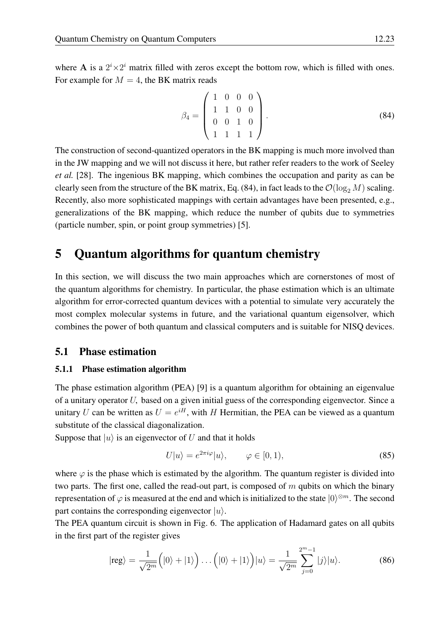where A is a  $2^{i} \times 2^{i}$  matrix filled with zeros except the bottom row, which is filled with ones. For example for  $M = 4$ , the BK matrix reads

<span id="page-22-2"></span>
$$
\beta_4 = \left(\begin{array}{cccc} 1 & 0 & 0 & 0 \\ 1 & 1 & 0 & 0 \\ 0 & 0 & 1 & 0 \\ 1 & 1 & 1 & 1 \end{array}\right). \tag{84}
$$

The construction of second-quantized operators in the BK mapping is much more involved than in the JW mapping and we will not discuss it here, but rather refer readers to the work of Seeley *et al.* [\[28\]](#page-30-13). The ingenious BK mapping, which combines the occupation and parity as can be clearly seen from the structure of the BK matrix, Eq. [\(84\)](#page-22-2), in fact leads to the  $\mathcal{O}(\log_2 M)$  scaling. Recently, also more sophisticated mappings with certain advantages have been presented, e.g., generalizations of the BK mapping, which reduce the number of qubits due to symmetries (particle number, spin, or point group symmetries) [\[5\]](#page-29-2).

### <span id="page-22-0"></span>5 Quantum algorithms for quantum chemistry

In this section, we will discuss the two main approaches which are cornerstones of most of the quantum algorithms for chemistry. In particular, the phase estimation which is an ultimate algorithm for error-corrected quantum devices with a potential to simulate very accurately the most complex molecular systems in future, and the variational quantum eigensolver, which combines the power of both quantum and classical computers and is suitable for NISQ devices.

### <span id="page-22-1"></span>5.1 Phase estimation

#### 5.1.1 Phase estimation algorithm

The phase estimation algorithm (PEA) [\[9\]](#page-29-8) is a quantum algorithm for obtaining an eigenvalue of a unitary operator U, based on a given initial guess of the corresponding eigenvector. Since a unitary U can be written as  $U = e^{iH}$ , with H Hermitian, the PEA can be viewed as a quantum substitute of the classical diagonalization.

Suppose that  $|u\rangle$  is an eigenvector of U and that it holds

<span id="page-22-3"></span>
$$
U|u\rangle = e^{2\pi i \varphi}|u\rangle, \qquad \varphi \in [0,1), \tag{85}
$$

where  $\varphi$  is the phase which is estimated by the algorithm. The quantum register is divided into two parts. The first one, called the read-out part, is composed of  $m$  qubits on which the binary representation of  $\varphi$  is measured at the end and which is initialized to the state  $|0\rangle^{\otimes m}$ . The second part contains the corresponding eigenvector  $|u\rangle$ .

The PEA quantum circuit is shown in Fig. [6.](#page-23-0) The application of Hadamard gates on all qubits in the first part of the register gives

$$
|\text{reg}\rangle = \frac{1}{\sqrt{2^m}}\Big(|0\rangle + |1\rangle\Big)\dots\Big(|0\rangle + |1\rangle\Big)|u\rangle = \frac{1}{\sqrt{2^m}}\sum_{j=0}^{2^m-1} |j\rangle|u\rangle. \tag{86}
$$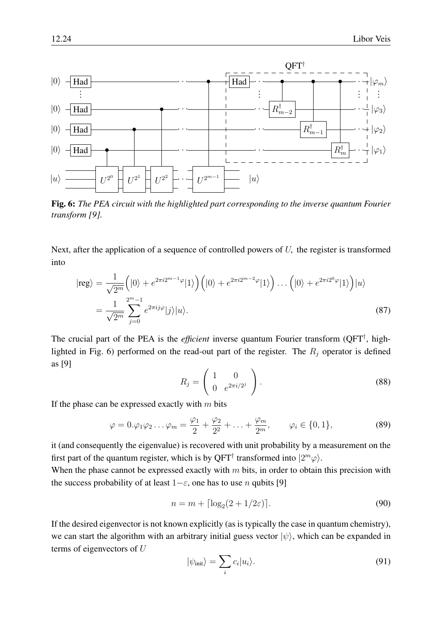

<span id="page-23-0"></span>Fig. 6: *The PEA circuit with the highlighted part corresponding to the inverse quantum Fourier transform [\[9\]](#page-29-8).*

Next, after the application of a sequence of controlled powers of U, the register is transformed into

$$
|\text{reg}\rangle = \frac{1}{\sqrt{2^m}} \left( |0\rangle + e^{2\pi i 2^{m-1}\varphi} |1\rangle \right) \left( |0\rangle + e^{2\pi i 2^{m-2}\varphi} |1\rangle \right) \dots \left( |0\rangle + e^{2\pi i 2^0\varphi} |1\rangle \right) |u\rangle
$$
  
= 
$$
\frac{1}{\sqrt{2^m}} \sum_{j=0}^{2^m-1} e^{2\pi i j\varphi} |j\rangle |u\rangle.
$$
 (87)

The crucial part of the PEA is the *efficient* inverse quantum Fourier transform (QFT† , high-lighted in Fig. [6\)](#page-23-0) performed on the read-out part of the register. The  $R_j$  operator is defined as [\[9\]](#page-29-8)

$$
R_j = \left(\begin{array}{cc} 1 & 0 \\ 0 & e^{2\pi i/2^j} \end{array}\right). \tag{88}
$$

If the phase can be expressed exactly with  $m$  bits

$$
\varphi = 0.\varphi_1\varphi_2\ldots\varphi_m = \frac{\varphi_1}{2} + \frac{\varphi_2}{2^2} + \ldots + \frac{\varphi_m}{2^m}, \qquad \varphi_i \in \{0, 1\},\tag{89}
$$

it (and consequently the eigenvalue) is recovered with unit probability by a measurement on the first part of the quantum register, which is by QFT<sup>†</sup> transformed into  $|2^m\varphi\rangle$ .

When the phase cannot be expressed exactly with  $m$  bits, in order to obtain this precision with the success probability of at least  $1-\varepsilon$ , one has to use n qubits [\[9\]](#page-29-8)

<span id="page-23-1"></span>
$$
n = m + \lceil \log_2(2 + 1/2\varepsilon) \rceil. \tag{90}
$$

If the desired eigenvector is not known explicitly (as is typically the case in quantum chemistry), we can start the algorithm with an arbitrary initial guess vector  $|\psi\rangle$ , which can be expanded in terms of eigenvectors of  $U$ 

$$
|\psi_{\text{init}}\rangle = \sum_{i} c_i |u_i\rangle. \tag{91}
$$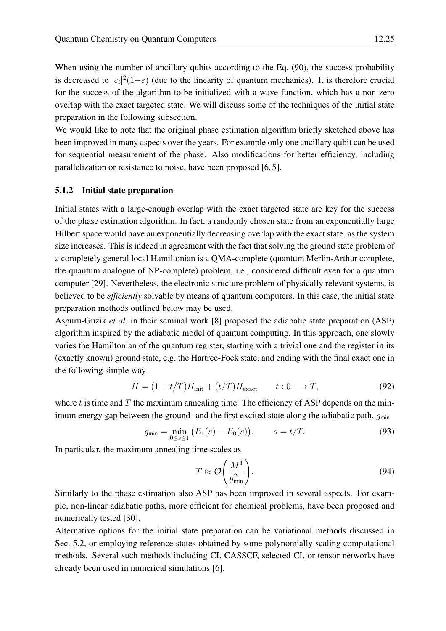When using the number of ancillary qubits according to the Eq. [\(90\)](#page-23-1), the success probability is decreased to  $|c_i|^2(1-\varepsilon)$  (due to the linearity of quantum mechanics). It is therefore crucial for the success of the algorithm to be initialized with a wave function, which has a non-zero overlap with the exact targeted state. We will discuss some of the techniques of the initial state preparation in the following subsection.

We would like to note that the original phase estimation algorithm briefly sketched above has been improved in many aspects over the years. For example only one ancillary qubit can be used for sequential measurement of the phase. Also modifications for better efficiency, including parallelization or resistance to noise, have been proposed [\[6,](#page-29-4) [5\]](#page-29-2).

#### 5.1.2 Initial state preparation

Initial states with a large-enough overlap with the exact targeted state are key for the success of the phase estimation algorithm. In fact, a randomly chosen state from an exponentially large Hilbert space would have an exponentially decreasing overlap with the exact state, as the system size increases. This is indeed in agreement with the fact that solving the ground state problem of a completely general local Hamiltonian is a QMA-complete (quantum Merlin-Arthur complete, the quantum analogue of NP-complete) problem, i.e., considered difficult even for a quantum computer [\[29\]](#page-30-14). Nevertheless, the electronic structure problem of physically relevant systems, is believed to be *efficiently* solvable by means of quantum computers. In this case, the initial state preparation methods outlined below may be used.

Aspuru-Guzik *et al.* in their seminal work [\[8\]](#page-29-7) proposed the adiabatic state preparation (ASP) algorithm inspired by the adiabatic model of quantum computing. In this approach, one slowly varies the Hamiltonian of the quantum register, starting with a trivial one and the register in its (exactly known) ground state, e.g. the Hartree-Fock state, and ending with the final exact one in the following simple way

$$
H = (1 - t/T)Hinit + (t/T)Hexact \t t : 0 \longrightarrow T,
$$
\n(92)

where t is time and T the maximum annealing time. The efficiency of ASP depends on the minimum energy gap between the ground- and the first excited state along the adiabatic path,  $g_{\text{min}}$ 

$$
g_{\min} = \min_{0 \le s \le 1} (E_1(s) - E_0(s)), \qquad s = t/T.
$$
 (93)

In particular, the maximum annealing time scales as

$$
T \approx \mathcal{O}\left(\frac{M^4}{g_{\min}^2}\right). \tag{94}
$$

Similarly to the phase estimation also ASP has been improved in several aspects. For example, non-linear adiabatic paths, more efficient for chemical problems, have been proposed and numerically tested [\[30\]](#page-30-15).

Alternative options for the initial state preparation can be variational methods discussed in Sec. [5.2,](#page-26-0) or employing reference states obtained by some polynomially scaling computational methods. Several such methods including CI, CASSCF, selected CI, or tensor networks have already been used in numerical simulations [\[6\]](#page-29-4).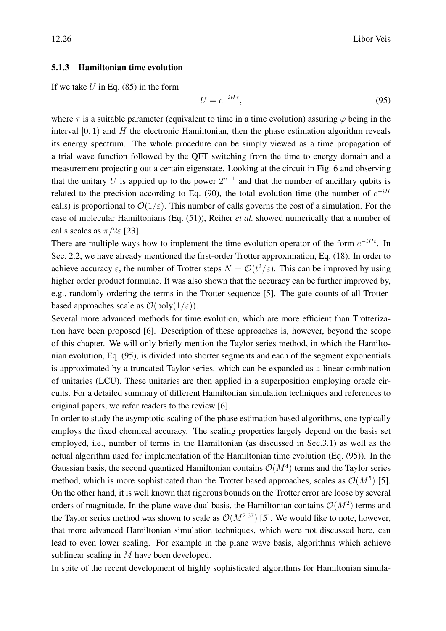#### <span id="page-25-1"></span>5.1.3 Hamiltonian time evolution

If we take  $U$  in Eq. [\(85\)](#page-22-3) in the form

<span id="page-25-0"></span>
$$
U = e^{-iH\tau},\tag{95}
$$

where  $\tau$  is a suitable parameter (equivalent to time in a time evolution) assuring  $\varphi$  being in the interval  $[0, 1)$  and H the electronic Hamiltonian, then the phase estimation algorithm reveals its energy spectrum. The whole procedure can be simply viewed as a time propagation of a trial wave function followed by the QFT switching from the time to energy domain and a measurement projecting out a certain eigenstate. Looking at the circuit in Fig. [6](#page-23-0) and observing that the unitary U is applied up to the power  $2^{n-1}$  and that the number of ancillary qubits is related to the precision according to Eq. [\(90\)](#page-23-1), the total evolution time (the number of  $e^{-iH}$ calls) is proportional to  $\mathcal{O}(1/\varepsilon)$ . This number of calls governs the cost of a simulation. For the case of molecular Hamiltonians (Eq. [\(51\)](#page-15-1)), Reiher *et al.* showed numerically that a number of calls scales as  $\pi/2\varepsilon$  [\[23\]](#page-30-8).

There are multiple ways how to implement the time evolution operator of the form  $e^{-iHt}$ . In Sec. [2.2,](#page-6-0) we have already mentioned the first-order Trotter approximation, Eq. [\(18\)](#page-7-2). In order to achieve accuracy  $\varepsilon$ , the number of Trotter steps  $N = \mathcal{O}(t^2/\varepsilon)$ . This can be improved by using higher order product formulae. It was also shown that the accuracy can be further improved by, e.g., randomly ordering the terms in the Trotter sequence [\[5\]](#page-29-2). The gate counts of all Trotterbased approaches scale as  $\mathcal{O}(\text{poly}(1/\varepsilon)).$ 

Several more advanced methods for time evolution, which are more efficient than Trotterization have been proposed [\[6\]](#page-29-4). Description of these approaches is, however, beyond the scope of this chapter. We will only briefly mention the Taylor series method, in which the Hamiltonian evolution, Eq. [\(95\)](#page-25-0), is divided into shorter segments and each of the segment exponentials is approximated by a truncated Taylor series, which can be expanded as a linear combination of unitaries (LCU). These unitaries are then applied in a superposition employing oracle circuits. For a detailed summary of different Hamiltonian simulation techniques and references to original papers, we refer readers to the review [\[6\]](#page-29-4).

In order to study the asymptotic scaling of the phase estimation based algorithms, one typically employs the fixed chemical accuracy. The scaling properties largely depend on the basis set employed, i.e., number of terms in the Hamiltonian (as discussed in Sec[.3.1\)](#page-8-1) as well as the actual algorithm used for implementation of the Hamiltonian time evolution (Eq. [\(95\)](#page-25-0)). In the Gaussian basis, the second quantized Hamiltonian contains  $\mathcal{O}(M^4)$  terms and the Taylor series method, which is more sophisticated than the Trotter based approaches, scales as  $\mathcal{O}(M^5)$  [\[5\]](#page-29-2). On the other hand, it is well known that rigorous bounds on the Trotter error are loose by several orders of magnitude. In the plane wave dual basis, the Hamiltonian contains  $\mathcal{O}(M^2)$  terms and the Taylor series method was shown to scale as  $\mathcal{O}(M^{2.67})$  [\[5\]](#page-29-2). We would like to note, however, that more advanced Hamiltonian simulation techniques, which were not discussed here, can lead to even lower scaling. For example in the plane wave basis, algorithms which achieve sublinear scaling in M have been developed.

In spite of the recent development of highly sophisticated algorithms for Hamiltonian simula-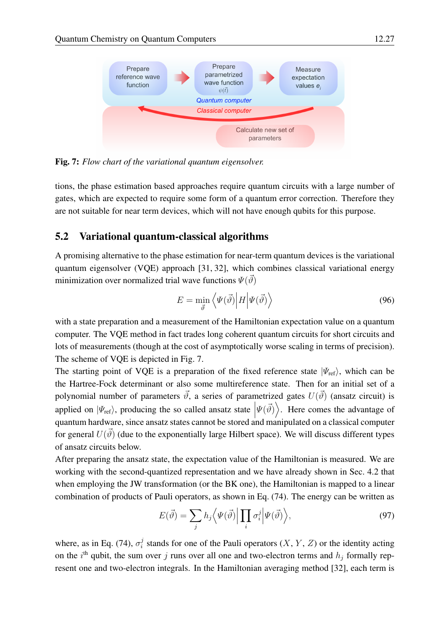

<span id="page-26-1"></span>Fig. 7: *Flow chart of the variational quantum eigensolver.*

tions, the phase estimation based approaches require quantum circuits with a large number of gates, which are expected to require some form of a quantum error correction. Therefore they are not suitable for near term devices, which will not have enough qubits for this purpose.

### <span id="page-26-0"></span>5.2 Variational quantum-classical algorithms

A promising alternative to the phase estimation for near-term quantum devices is the variational quantum eigensolver (VQE) approach [\[31,](#page-30-16) [32\]](#page-30-17), which combines classical variational energy minimization over normalized trial wave functions  $\Psi(\vartheta)$ 

$$
E = \min_{\vec{\vartheta}} \left\langle \Psi(\vec{\vartheta}) \middle| H \middle| \Psi(\vec{\vartheta}) \right\rangle \tag{96}
$$

with a state preparation and a measurement of the Hamiltonian expectation value on a quantum computer. The VQE method in fact trades long coherent quantum circuits for short circuits and lots of measurements (though at the cost of asymptotically worse scaling in terms of precision). The scheme of VQE is depicted in Fig. [7.](#page-26-1)

The starting point of VQE is a preparation of the fixed reference state  $|\Psi_{\text{ref}}\rangle$ , which can be the Hartree-Fock determinant or also some multireference state. Then for an initial set of a polynomial number of parameters  $\vec{\theta}$ , a series of parametrized gates  $U(\vec{\theta})$  (ansatz circuit) is applied on  $|\varPsi_{\rm ref}\rangle$ , producing the so called ansatz state  $|\varPsi(\vec{v})\rangle$ . Here comes the advantage of  $q$ uantum hardware, since ansatz states cannot be stored and manipulated on a classical computer for general  $U(\vec{\theta})$  (due to the exponentially large Hilbert space). We will discuss different types of ansatz circuits below.

After preparing the ansatz state, the expectation value of the Hamiltonian is measured. We are working with the second-quantized representation and we have already shown in Sec. [4.2](#page-19-0) that when employing the JW transformation (or the BK one), the Hamiltonian is mapped to a linear combination of products of Pauli operators, as shown in Eq. [\(74\)](#page-20-1). The energy can be written as

<span id="page-26-2"></span>
$$
E(\vec{\vartheta}) = \sum_{j} h_{j} \langle \Psi(\vec{\vartheta}) \Big| \prod_{i} \sigma_{i}^{j} \Big| \Psi(\vec{\vartheta}) \Big\rangle, \tag{97}
$$

where, as in Eq. [\(74\)](#page-20-1),  $\sigma_i^j$  $s_i^j$  stands for one of the Pauli operators  $(X, Y, Z)$  or the identity acting on the i<sup>th</sup> qubit, the sum over j runs over all one and two-electron terms and  $h_j$  formally represent one and two-electron integrals. In the Hamiltonian averaging method [\[32\]](#page-30-17), each term is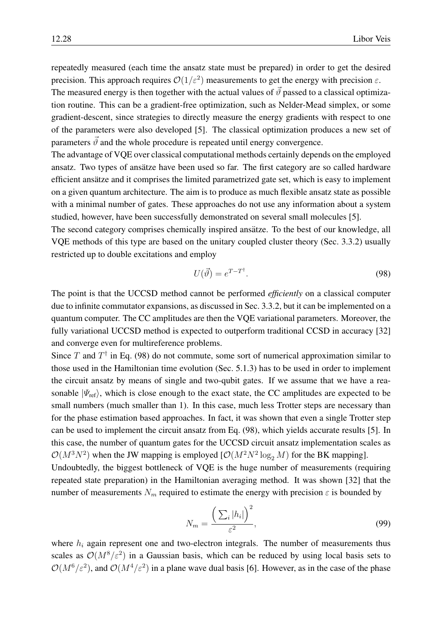repeatedly measured (each time the ansatz state must be prepared) in order to get the desired precision. This approach requires  $\mathcal{O}(1/\varepsilon^2)$  measurements to get the energy with precision  $\varepsilon$ .

The measured energy is then together with the actual values of  $\vec{\theta}$  passed to a classical optimization routine. This can be a gradient-free optimization, such as Nelder-Mead simplex, or some gradient-descent, since strategies to directly measure the energy gradients with respect to one of the parameters were also developed [\[5\]](#page-29-2). The classical optimization produces a new set of parameters  $\vec{\theta}$  and the whole procedure is repeated until energy convergence.

The advantage of VQE over classical computational methods certainly depends on the employed ansatz. Two types of ansätze have been used so far. The first category are so called hardware efficient ansätze and it comprises the limited parametrized gate set, which is easy to implement on a given quantum architecture. The aim is to produce as much flexible ansatz state as possible with a minimal number of gates. These approaches do not use any information about a system studied, however, have been successfully demonstrated on several small molecules [\[5\]](#page-29-2).

The second category comprises chemically inspired ansätze. To the best of our knowledge, all VQE methods of this type are based on the unitary coupled cluster theory (Sec. [3.3.2\)](#page-16-0) usually restricted up to double excitations and employ

<span id="page-27-0"></span>
$$
U(\vec{\vartheta}) = e^{T - T^{\dagger}}.
$$
\n(98)

The point is that the UCCSD method cannot be performed *efficiently* on a classical computer due to infinite commutator expansions, as discussed in Sec. [3.3.2,](#page-16-0) but it can be implemented on a quantum computer. The CC amplitudes are then the VQE variational parameters. Moreover, the fully variational UCCSD method is expected to outperform traditional CCSD in accuracy [\[32\]](#page-30-17) and converge even for multireference problems.

Since T and  $T^{\dagger}$  in Eq. [\(98\)](#page-27-0) do not commute, some sort of numerical approximation similar to those used in the Hamiltonian time evolution (Sec. [5.1.3\)](#page-25-1) has to be used in order to implement the circuit ansatz by means of single and two-qubit gates. If we assume that we have a reasonable  $|\Psi_{\text{ref}}\rangle$ , which is close enough to the exact state, the CC amplitudes are expected to be small numbers (much smaller than 1). In this case, much less Trotter steps are necessary than for the phase estimation based approaches. In fact, it was shown that even a single Trotter step can be used to implement the circuit ansatz from Eq. [\(98\)](#page-27-0), which yields accurate results [\[5\]](#page-29-2). In this case, the number of quantum gates for the UCCSD circuit ansatz implementation scales as  $\mathcal{O}(M^3N^2)$  when the JW mapping is employed  $\mathcal{O}(M^2N^2 \log_2 M)$  for the BK mapping].

Undoubtedly, the biggest bottleneck of VQE is the huge number of measurements (requiring repeated state preparation) in the Hamiltonian averaging method. It was shown [\[32\]](#page-30-17) that the number of measurements  $N_m$  required to estimate the energy with precision  $\varepsilon$  is bounded by

$$
N_m = \frac{\left(\sum_i |h_i|\right)^2}{\varepsilon^2},\tag{99}
$$

where  $h_i$  again represent one and two-electron integrals. The number of measurements thus scales as  $\mathcal{O}(M^8/\varepsilon^2)$  in a Gaussian basis, which can be reduced by using local basis sets to  $\mathcal{O}(M^6/\varepsilon^2)$ , and  $\mathcal{O}(M^4/\varepsilon^2)$  in a plane wave dual basis [\[6\]](#page-29-4). However, as in the case of the phase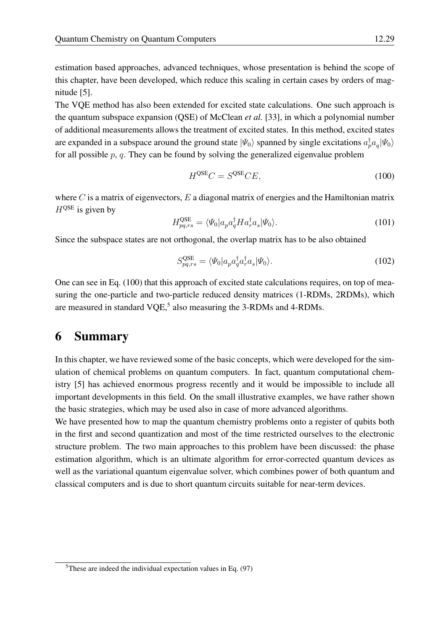estimation based approaches, advanced techniques, whose presentation is behind the scope of this chapter, have been developed, which reduce this scaling in certain cases by orders of magnitude [\[5\]](#page-29-2).

The VQE method has also been extended for excited state calculations. One such approach is the quantum subspace expansion (QSE) of McClean *et al.* [\[33\]](#page-30-18), in which a polynomial number of additional measurements allows the treatment of excited states. In this method, excited states are expanded in a subspace around the ground state  $|\Psi_0\rangle$  spanned by single excitations  $a_p^{\dagger}a_q|\Psi_0\rangle$ for all possible  $p$ ,  $q$ . They can be found by solving the generalized eigenvalue problem

<span id="page-28-1"></span>
$$
H^{\rm QSE}C = S^{\rm QSE}CE,\tag{100}
$$

where C is a matrix of eigenvectors,  $E$  a diagonal matrix of energies and the Hamiltonian matrix  $H^{QSE}$  is given by

$$
H_{pq,rs}^{\text{QSE}} = \langle \Psi_0 | a_p a_q^{\dagger} H a_r^{\dagger} a_s | \Psi_0 \rangle. \tag{101}
$$

Since the subspace states are not orthogonal, the overlap matrix has to be also obtained

$$
S_{pq,rs}^{\text{QSE}} = \langle \Psi_0 | a_p a_q^{\dagger} a_r^{\dagger} a_s | \Psi_0 \rangle. \tag{102}
$$

One can see in Eq. [\(100\)](#page-28-1) that this approach of excited state calculations requires, on top of measuring the one-particle and two-particle reduced density matrices (1-RDMs, 2RDMs), which are measured in standard  $VQE$ , also measuring the 3-RDMs and 4-RDMs.

### <span id="page-28-0"></span>6 Summary

In this chapter, we have reviewed some of the basic concepts, which were developed for the simulation of chemical problems on quantum computers. In fact, quantum computational chemistry [\[5\]](#page-29-2) has achieved enormous progress recently and it would be impossible to include all important developments in this field. On the small illustrative examples, we have rather shown the basic strategies, which may be used also in case of more advanced algorithms.

We have presented how to map the quantum chemistry problems onto a register of qubits both in the first and second quantization and most of the time restricted ourselves to the electronic structure problem. The two main approaches to this problem have been discussed: the phase estimation algorithm, which is an ultimate algorithm for error-corrected quantum devices as well as the variational quantum eigenvalue solver, which combines power of both quantum and classical computers and is due to short quantum circuits suitable for near-term devices.

<span id="page-28-2"></span> $5$ These are indeed the individual expectation values in Eq. [\(97\)](#page-26-2)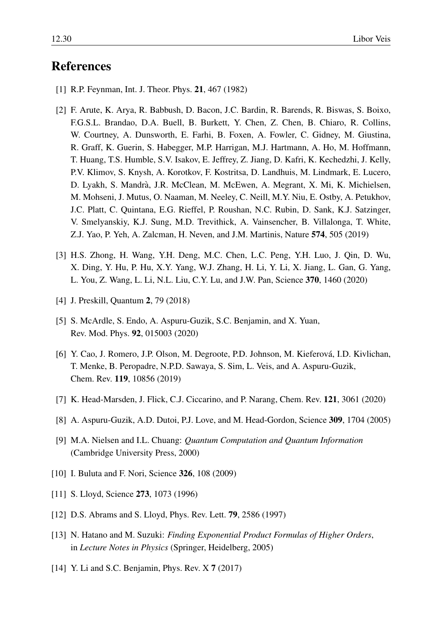## References

- <span id="page-29-0"></span>[1] R.P. Feynman, Int. J. Theor. Phys. 21, 467 (1982)
- <span id="page-29-5"></span>[2] F. Arute, K. Arya, R. Babbush, D. Bacon, J.C. Bardin, R. Barends, R. Biswas, S. Boixo, F.G.S.L. Brandao, D.A. Buell, B. Burkett, Y. Chen, Z. Chen, B. Chiaro, R. Collins, W. Courtney, A. Dunsworth, E. Farhi, B. Foxen, A. Fowler, C. Gidney, M. Giustina, R. Graff, K. Guerin, S. Habegger, M.P. Harrigan, M.J. Hartmann, A. Ho, M. Hoffmann, T. Huang, T.S. Humble, S.V. Isakov, E. Jeffrey, Z. Jiang, D. Kafri, K. Kechedzhi, J. Kelly, P.V. Klimov, S. Knysh, A. Korotkov, F. Kostritsa, D. Landhuis, M. Lindmark, E. Lucero, D. Lyakh, S. Mandrà, J.R. McClean, M. McEwen, A. Megrant, X. Mi, K. Michielsen, M. Mohseni, J. Mutus, O. Naaman, M. Neeley, C. Neill, M.Y. Niu, E. Ostby, A. Petukhov, J.C. Platt, C. Quintana, E.G. Rieffel, P. Roushan, N.C. Rubin, D. Sank, K.J. Satzinger, V. Smelyanskiy, K.J. Sung, M.D. Trevithick, A. Vainsencher, B. Villalonga, T. White, Z.J. Yao, P. Yeh, A. Zalcman, H. Neven, and J.M. Martinis, Nature 574, 505 (2019)
- <span id="page-29-6"></span>[3] H.S. Zhong, H. Wang, Y.H. Deng, M.C. Chen, L.C. Peng, Y.H. Luo, J. Qin, D. Wu, X. Ding, Y. Hu, P. Hu, X.Y. Yang, W.J. Zhang, H. Li, Y. Li, X. Jiang, L. Gan, G. Yang, L. You, Z. Wang, L. Li, N.L. Liu, C.Y. Lu, and J.W. Pan, Science 370, 1460 (2020)
- <span id="page-29-1"></span>[4] J. Preskill, Quantum 2, 79 (2018)
- <span id="page-29-2"></span>[5] S. McArdle, S. Endo, A. Aspuru-Guzik, S.C. Benjamin, and X. Yuan, Rev. Mod. Phys. 92, 015003 (2020)
- <span id="page-29-4"></span>[6] Y. Cao, J. Romero, J.P. Olson, M. Degroote, P.D. Johnson, M. Kieferová, I.D. Kivlichan, T. Menke, B. Peropadre, N.P.D. Sawaya, S. Sim, L. Veis, and A. Aspuru-Guzik, Chem. Rev. 119, 10856 (2019)
- <span id="page-29-3"></span>[7] K. Head-Marsden, J. Flick, C.J. Ciccarino, and P. Narang, Chem. Rev. 121, 3061 (2020)
- <span id="page-29-7"></span>[8] A. Aspuru-Guzik, A.D. Dutoi, P.J. Love, and M. Head-Gordon, Science 309, 1704 (2005)
- <span id="page-29-8"></span>[9] M.A. Nielsen and I.L. Chuang: *Quantum Computation and Quantum Information* (Cambridge University Press, 2000)
- <span id="page-29-9"></span>[10] I. Buluta and F. Nori, Science 326, 108 (2009)
- <span id="page-29-10"></span>[11] S. Lloyd, Science 273, 1073 (1996)
- <span id="page-29-11"></span>[12] D.S. Abrams and S. Lloyd, Phys. Rev. Lett. 79, 2586 (1997)
- <span id="page-29-12"></span>[13] N. Hatano and M. Suzuki: *Finding Exponential Product Formulas of Higher Orders*, in *Lecture Notes in Physics* (Springer, Heidelberg, 2005)
- <span id="page-29-13"></span>[14] Y. Li and S.C. Benjamin, Phys. Rev. X 7 (2017)